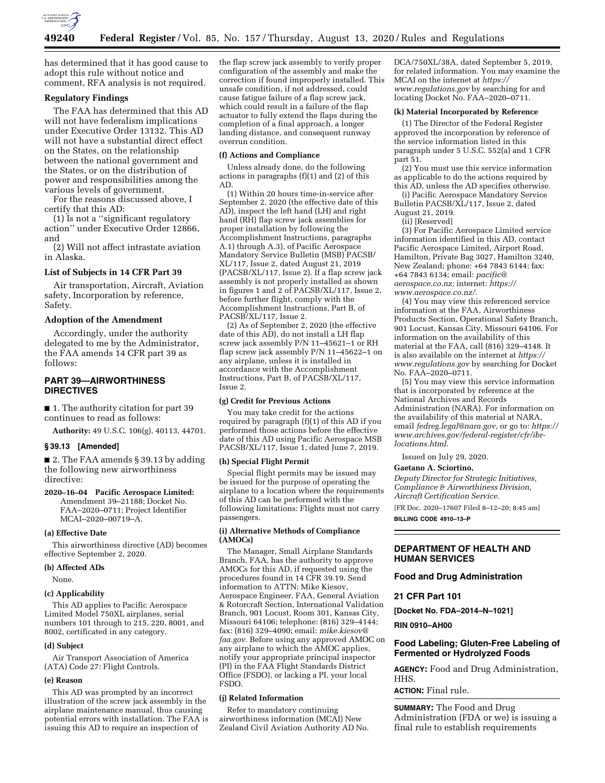

has determined that it has good cause to adopt this rule without notice and comment, RFA analysis is not required.

## **Regulatory Findings**

The FAA has determined that this AD will not have federalism implications under Executive Order 13132. This AD will not have a substantial direct effect on the States, on the relationship between the national government and the States, or on the distribution of power and responsibilities among the various levels of government.

For the reasons discussed above, I certify that this AD:

(1) Is not a ''significant regulatory action'' under Executive Order 12866, and

(2) Will not affect intrastate aviation in Alaska.

## **List of Subjects in 14 CFR Part 39**

Air transportation, Aircraft, Aviation safety, Incorporation by reference, Safety.

#### **Adoption of the Amendment**

Accordingly, under the authority delegated to me by the Administrator, the FAA amends 14 CFR part 39 as follows:

## **PART 39—AIRWORTHINESS DIRECTIVES**

■ 1. The authority citation for part 39 continues to read as follows:

**Authority:** 49 U.S.C. 106(g), 40113, 44701.

#### **§ 39.13 [Amended]**

■ 2. The FAA amends § 39.13 by adding the following new airworthiness directive:

**2020–16–04 Pacific Aerospace Limited:**  Amendment 39–21188; Docket No. FAA–2020–0711; Project Identifier MCAI–2020–00719–A.

#### **(a) Effective Date**

This airworthiness directive (AD) becomes effective September 2, 2020.

#### **(b) Affected ADs**

None.

#### **(c) Applicability**

This AD applies to Pacific Aerospace Limited Model 750XL airplanes, serial numbers 101 through to 215, 220, 8001, and 8002, certificated in any category.

#### **(d) Subject**

Air Transport Association of America (ATA) Code 27: Flight Controls.

#### **(e) Reason**

This AD was prompted by an incorrect illustration of the screw jack assembly in the airplane maintenance manual, thus causing potential errors with installation. The FAA is issuing this AD to require an inspection of

the flap screw jack assembly to verify proper configuration of the assembly and make the correction if found improperly installed. This unsafe condition, if not addressed, could cause fatigue failure of a flap screw jack, which could result in a failure of the flap actuator to fully extend the flaps during the completion of a final approach, a longer landing distance, and consequent runway overrun condition.

#### **(f) Actions and Compliance**

Unless already done, do the following actions in paragraphs (f)(1) and (2) of this AD.

(1) Within 20 hours time-in-service after September 2, 2020 (the effective date of this AD), inspect the left hand (LH) and right hand (RH) flap screw jack assemblies for proper installation by following the Accomplishment Instructions, paragraphs A.1) through A.3), of Pacific Aerospace Mandatory Service Bulletin (MSB) PACSB/ XL/117, Issue 2, dated August 21, 2019 (PACSB/XL/117, Issue 2). If a flap screw jack assembly is not properly installed as shown in figures 1 and 2 of PACSB/XL/117, Issue 2, before further flight, comply with the Accomplishment Instructions, Part B, of PACSB/XL/117, Issue 2.

(2) As of September 2, 2020 (the effective date of this AD), do not install a LH flap screw jack assembly P/N 11–45621–1 or RH flap screw jack assembly P/N 11–45622–1 on any airplane, unless it is installed in accordance with the Accomplishment Instructions, Part B, of PACSB/XL/117, Issue 2.

#### **(g) Credit for Previous Actions**

You may take credit for the actions required by paragraph (f)(1) of this AD if you performed those actions before the effective date of this AD using Pacific Aerospace MSB PACSB/XL/117, Issue 1, dated June 7, 2019.

## **(h) Special Flight Permit**

Special flight permits may be issued may be issued for the purpose of operating the airplane to a location where the requirements of this AD can be performed with the following limitations: Flights must not carry passengers.

#### **(i) Alternative Methods of Compliance (AMOCs)**

The Manager, Small Airplane Standards Branch, FAA, has the authority to approve AMOCs for this AD, if requested using the procedures found in 14 CFR 39.19. Send information to ATTN: Mike Kiesov, Aerospace Engineer, FAA, General Aviation & Rotorcraft Section, International Validation Branch, 901 Locust, Room 301, Kansas City, Missouri 64106; telephone: (816) 329–4144; fax: (816) 329–4090; email: *[mike.kiesov@](mailto:mike.kiesov@faa.gov) [faa.gov.](mailto:mike.kiesov@faa.gov)* Before using any approved AMOC on any airplane to which the AMOC applies, notify your appropriate principal inspector (PI) in the FAA Flight Standards District Office (FSDO), or lacking a PI, your local FSDO.

#### **(j) Related Information**

Refer to mandatory continuing airworthiness information (MCAI) New Zealand Civil Aviation Authority AD No. DCA/750XL/38A, dated September 5, 2019, for related information. You may examine the MCAI on the internet at *[https://](https://www.regulations.gov) [www.regulations.gov](https://www.regulations.gov)* by searching for and locating Docket No. FAA–2020–0711.

#### **(k) Material Incorporated by Reference**

(1) The Director of the Federal Register approved the incorporation by reference of the service information listed in this paragraph under 5 U.S.C. 552(a) and 1 CFR part 51.

(2) You must use this service information as applicable to do the actions required by this AD, unless the AD specifies otherwise.

(i) Pacific Aerospace Mandatory Service Bulletin PACSB/XL/117, Issue 2, dated August 21, 2019.

(ii) [Reserved]

(3) For Pacific Aerospace Limited service information identified in this AD, contact Pacific Aerospace Limited, Airport Road, Hamilton, Private Bag 3027, Hamilton 3240, New Zealand; phone: +64 7843 6144; fax: +64 7843 6134; email: *[pacific@](mailto:pacific@aerospace.co.nz) [aerospace.co.nz;](mailto:pacific@aerospace.co.nz)* internet: *[https://](https://www.aerospace.co.nz/) [www.aerospace.co.nz/.](https://www.aerospace.co.nz/)* 

(4) You may view this referenced service information at the FAA, Airworthiness Products Section, Operational Safety Branch, 901 Locust, Kansas City, Missouri 64106. For information on the availability of this material at the FAA, call (816) 329–4148. It is also available on the internet at *[https://](https://www.regulations.gov) [www.regulations.gov](https://www.regulations.gov)* by searching for Docket No. FAA–2020–0711.

(5) You may view this service information that is incorporated by reference at the National Archives and Records Administration (NARA). For information on the availability of this material at NARA, email *[fedreg.legal@nara.gov,](mailto:fedreg.legal@nara.gov)* or go to: *[https://](https://www.archives.gov/federal-register/cfr/ibr-locations.html) [www.archives.gov/federal-register/cfr/ibr](https://www.archives.gov/federal-register/cfr/ibr-locations.html)[locations.html.](https://www.archives.gov/federal-register/cfr/ibr-locations.html)* 

Issued on July 29, 2020.

#### **Gaetano A. Sciortino,**

*Deputy Director for Strategic Initiatives, Compliance & Airworthiness Division, Aircraft Certification Service.* 

[FR Doc. 2020–17607 Filed 8–12–20; 8:45 am] **BILLING CODE 4910–13–P** 

## **DEPARTMENT OF HEALTH AND HUMAN SERVICES**

#### **Food and Drug Administration**

#### **21 CFR Part 101**

**[Docket No. FDA–2014–N–1021]** 

#### **RIN 0910–AH00**

## **Food Labeling; Gluten-Free Labeling of Fermented or Hydrolyzed Foods**

**AGENCY:** Food and Drug Administration, HHS.

#### **ACTION:** Final rule.

**SUMMARY:** The Food and Drug Administration (FDA or we) is issuing a final rule to establish requirements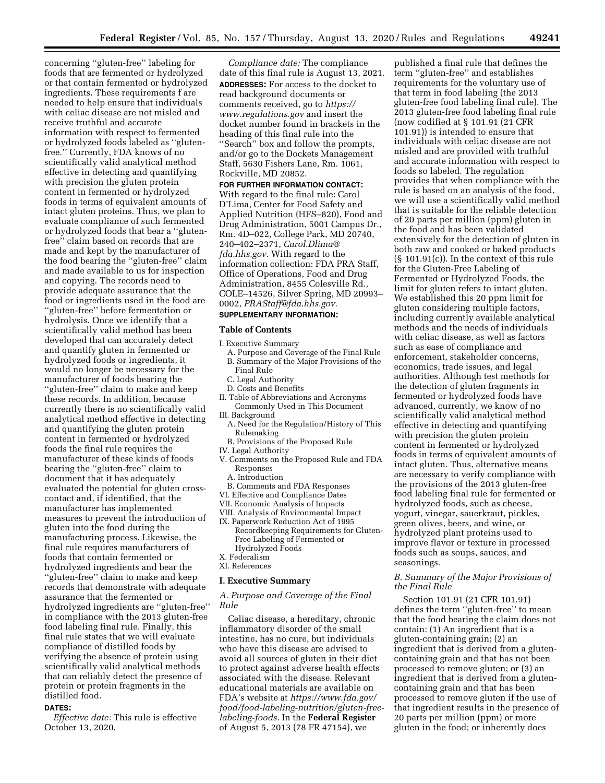concerning ''gluten-free'' labeling for foods that are fermented or hydrolyzed or that contain fermented or hydrolyzed ingredients. These requirements f are needed to help ensure that individuals with celiac disease are not misled and receive truthful and accurate information with respect to fermented or hydrolyzed foods labeled as ''glutenfree.'' Currently, FDA knows of no scientifically valid analytical method effective in detecting and quantifying with precision the gluten protein content in fermented or hydrolyzed foods in terms of equivalent amounts of intact gluten proteins. Thus, we plan to evaluate compliance of such fermented or hydrolyzed foods that bear a ''glutenfree'' claim based on records that are made and kept by the manufacturer of the food bearing the ''gluten-free'' claim and made available to us for inspection and copying. The records need to provide adequate assurance that the food or ingredients used in the food are ''gluten-free'' before fermentation or hydrolysis. Once we identify that a scientifically valid method has been developed that can accurately detect and quantify gluten in fermented or hydrolyzed foods or ingredients, it would no longer be necessary for the manufacturer of foods bearing the ''gluten-free'' claim to make and keep these records. In addition, because currently there is no scientifically valid analytical method effective in detecting and quantifying the gluten protein content in fermented or hydrolyzed foods the final rule requires the manufacturer of these kinds of foods bearing the ''gluten-free'' claim to document that it has adequately evaluated the potential for gluten crosscontact and, if identified, that the manufacturer has implemented measures to prevent the introduction of gluten into the food during the manufacturing process. Likewise, the final rule requires manufacturers of foods that contain fermented or hydrolyzed ingredients and bear the ''gluten-free'' claim to make and keep records that demonstrate with adequate assurance that the fermented or hydrolyzed ingredients are ''gluten-free'' in compliance with the 2013 gluten-free food labeling final rule. Finally, this final rule states that we will evaluate compliance of distilled foods by verifying the absence of protein using scientifically valid analytical methods that can reliably detect the presence of protein or protein fragments in the distilled food.

#### **DATES:**

*Effective date:* This rule is effective October 13, 2020.

*Compliance date:* The compliance date of this final rule is August 13, 2021. **ADDRESSES:** For access to the docket to read background documents or comments received, go to *[https://](https://www.regulations.gov) [www.regulations.gov](https://www.regulations.gov)* and insert the docket number found in brackets in the heading of this final rule into the ''Search'' box and follow the prompts, and/or go to the Dockets Management Staff, 5630 Fishers Lane, Rm. 1061, Rockville, MD 20852.

#### **FOR FURTHER INFORMATION CONTACT:**

With regard to the final rule: Carol D'Lima, Center for Food Safety and Applied Nutrition (HFS–820), Food and Drug Administration, 5001 Campus Dr., Rm. 4D–022, College Park, MD 20740, 240–402–2371, *[Carol.Dlima@](mailto:Carol.Dlima@fda.hhs.gov) [fda.hhs.gov.](mailto:Carol.Dlima@fda.hhs.gov)* With regard to the information collection: FDA PRA Staff, Office of Operations, Food and Drug Administration, 8455 Colesville Rd., COLE–14526, Silver Spring, MD 20993– 0002, *[PRAStaff@fda.hhs.gov.](mailto:PRAStaff@fda.hhs.gov)* 

## **SUPPLEMENTARY INFORMATION:**

#### **Table of Contents**

- I. Executive Summary
	- A. Purpose and Coverage of the Final Rule B. Summary of the Major Provisions of the Final Rule
	- C. Legal Authority
	- D. Costs and Benefits
- II. Table of Abbreviations and Acronyms Commonly Used in This Document III. Background
	- A. Need for the Regulation/History of This Rulemaking
- B. Provisions of the Proposed Rule
- IV. Legal Authority
- V. Comments on the Proposed Rule and FDA Responses
	- A. Introduction
	- B. Comments and FDA Responses
- VI. Effective and Compliance Dates
- VII. Economic Analysis of Impacts
- VIII. Analysis of Environmental Impact
- IX. Paperwork Reduction Act of 1995 Recordkeeping Requirements for Gluten-Free Labeling of Fermented or Hydrolyzed Foods
- X. Federalism
- XI. References

#### **I. Executive Summary**

*A. Purpose and Coverage of the Final Rule* 

Celiac disease, a hereditary, chronic inflammatory disorder of the small intestine, has no cure, but individuals who have this disease are advised to avoid all sources of gluten in their diet to protect against adverse health effects associated with the disease. Relevant educational materials are available on FDA's website at *[https://www.fda.gov/](https://www.fda.gov/food/food-labeling-nutrition/gluten-free-labeling-foods) [food/food-labeling-nutrition/gluten-free](https://www.fda.gov/food/food-labeling-nutrition/gluten-free-labeling-foods)[labeling-foods.](https://www.fda.gov/food/food-labeling-nutrition/gluten-free-labeling-foods)* In the **Federal Register**  of August 5, 2013 (78 FR 47154), we

published a final rule that defines the term ''gluten-free'' and establishes requirements for the voluntary use of that term in food labeling (the 2013 gluten-free food labeling final rule). The 2013 gluten-free food labeling final rule (now codified at § 101.91 (21 CFR 101.91)) is intended to ensure that individuals with celiac disease are not misled and are provided with truthful and accurate information with respect to foods so labeled. The regulation provides that when compliance with the rule is based on an analysis of the food, we will use a scientifically valid method that is suitable for the reliable detection of 20 parts per million (ppm) gluten in the food and has been validated extensively for the detection of gluten in both raw and cooked or baked products (§ 101.91(c)). In the context of this rule for the Gluten-Free Labeling of Fermented or Hydrolyzed Foods, the limit for gluten refers to intact gluten. We established this 20 ppm limit for gluten considering multiple factors, including currently available analytical methods and the needs of individuals with celiac disease, as well as factors such as ease of compliance and enforcement, stakeholder concerns, economics, trade issues, and legal authorities. Although test methods for the detection of gluten fragments in fermented or hydrolyzed foods have advanced, currently, we know of no scientifically valid analytical method effective in detecting and quantifying with precision the gluten protein content in fermented or hydrolyzed foods in terms of equivalent amounts of intact gluten. Thus, alternative means are necessary to verify compliance with the provisions of the 2013 gluten-free food labeling final rule for fermented or hydrolyzed foods, such as cheese, yogurt, vinegar, sauerkraut, pickles, green olives, beers, and wine, or hydrolyzed plant proteins used to improve flavor or texture in processed foods such as soups, sauces, and seasonings.

## *B. Summary of the Major Provisions of the Final Rule*

Section 101.91 (21 CFR 101.91) defines the term ''gluten-free'' to mean that the food bearing the claim does not contain: (1) An ingredient that is a gluten-containing grain; (2) an ingredient that is derived from a glutencontaining grain and that has not been processed to remove gluten; or (3) an ingredient that is derived from a glutencontaining grain and that has been processed to remove gluten if the use of that ingredient results in the presence of 20 parts per million (ppm) or more gluten in the food; or inherently does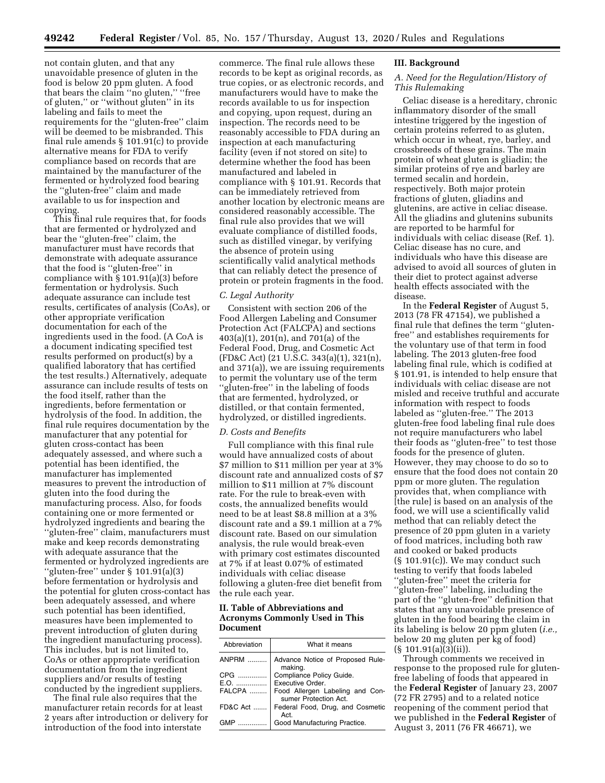not contain gluten, and that any unavoidable presence of gluten in the food is below 20 ppm gluten. A food that bears the claim ''no gluten,'' ''free of gluten,'' or ''without gluten'' in its labeling and fails to meet the requirements for the ''gluten-free'' claim will be deemed to be misbranded. This final rule amends § 101.91(c) to provide alternative means for FDA to verify compliance based on records that are maintained by the manufacturer of the fermented or hydrolyzed food bearing the ''gluten-free'' claim and made available to us for inspection and copying.

This final rule requires that, for foods that are fermented or hydrolyzed and bear the ''gluten-free'' claim, the manufacturer must have records that demonstrate with adequate assurance that the food is ''gluten-free'' in compliance with § 101.91(a)(3) before fermentation or hydrolysis. Such adequate assurance can include test results, certificates of analysis (CoAs), or other appropriate verification documentation for each of the ingredients used in the food. (A CoA is a document indicating specified test results performed on product(s) by a qualified laboratory that has certified the test results.) Alternatively, adequate assurance can include results of tests on the food itself, rather than the ingredients, before fermentation or hydrolysis of the food. In addition, the final rule requires documentation by the manufacturer that any potential for gluten cross-contact has been adequately assessed, and where such a potential has been identified, the manufacturer has implemented measures to prevent the introduction of gluten into the food during the manufacturing process. Also, for foods containing one or more fermented or hydrolyzed ingredients and bearing the ''gluten-free'' claim, manufacturers must make and keep records demonstrating with adequate assurance that the fermented or hydrolyzed ingredients are ''gluten-free'' under § 101.91(a)(3) before fermentation or hydrolysis and the potential for gluten cross-contact has been adequately assessed, and where such potential has been identified, measures have been implemented to prevent introduction of gluten during the ingredient manufacturing process). This includes, but is not limited to, CoAs or other appropriate verification documentation from the ingredient suppliers and/or results of testing conducted by the ingredient suppliers.

The final rule also requires that the manufacturer retain records for at least 2 years after introduction or delivery for introduction of the food into interstate

commerce. The final rule allows these records to be kept as original records, as true copies, or as electronic records, and manufacturers would have to make the records available to us for inspection and copying, upon request, during an inspection. The records need to be reasonably accessible to FDA during an inspection at each manufacturing facility (even if not stored on site) to determine whether the food has been manufactured and labeled in compliance with § 101.91. Records that can be immediately retrieved from another location by electronic means are considered reasonably accessible. The final rule also provides that we will evaluate compliance of distilled foods, such as distilled vinegar, by verifying the absence of protein using scientifically valid analytical methods that can reliably detect the presence of protein or protein fragments in the food.

#### *C. Legal Authority*

Consistent with section 206 of the Food Allergen Labeling and Consumer Protection Act (FALCPA) and sections 403(a)(1), 201(n), and 701(a) of the Federal Food, Drug, and Cosmetic Act (FD&C Act) (21 U.S.C. 343(a)(1), 321(n), and 371(a)), we are issuing requirements to permit the voluntary use of the term ''gluten-free'' in the labeling of foods that are fermented, hydrolyzed, or distilled, or that contain fermented, hydrolyzed, or distilled ingredients.

#### *D. Costs and Benefits*

Full compliance with this final rule would have annualized costs of about \$7 million to \$11 million per year at 3% discount rate and annualized costs of \$7 million to \$11 million at 7% discount rate. For the rule to break-even with costs, the annualized benefits would need to be at least \$8.8 million at a 3% discount rate and a \$9.1 million at a 7% discount rate. Based on our simulation analysis, the rule would break-even with primary cost estimates discounted at 7% if at least 0.07% of estimated individuals with celiac disease following a gluten-free diet benefit from the rule each year.

## **II. Table of Abbreviations and Acronyms Commonly Used in This Document**

| Abbreviation | What it means                                            |
|--------------|----------------------------------------------------------|
| ANPRM        | Advance Notice of Proposed Rule-<br>making.              |
| CPG          | Compliance Policy Guide.                                 |
|              | E.O.    Executive Order.                                 |
| FALCPA       | Food Allergen Labeling and Con-<br>sumer Protection Act. |
| FD&C Act     | Federal Food, Drug, and Cosmetic<br>Act.                 |
| GMP          | Good Manufacturing Practice.                             |

#### **III. Background**

## *A. Need for the Regulation/History of This Rulemaking*

Celiac disease is a hereditary, chronic inflammatory disorder of the small intestine triggered by the ingestion of certain proteins referred to as gluten, which occur in wheat, rye, barley, and crossbreeds of these grains. The main protein of wheat gluten is gliadin; the similar proteins of rye and barley are termed secalin and hordein, respectively. Both major protein fractions of gluten, gliadins and glutenins, are active in celiac disease. All the gliadins and glutenins subunits are reported to be harmful for individuals with celiac disease (Ref. 1). Celiac disease has no cure, and individuals who have this disease are advised to avoid all sources of gluten in their diet to protect against adverse health effects associated with the disease.

In the **Federal Register** of August 5, 2013 (78 FR 47154), we published a final rule that defines the term ''glutenfree'' and establishes requirements for the voluntary use of that term in food labeling. The 2013 gluten-free food labeling final rule, which is codified at § 101.91, is intended to help ensure that individuals with celiac disease are not misled and receive truthful and accurate information with respect to foods labeled as ''gluten-free.'' The 2013 gluten-free food labeling final rule does not require manufacturers who label their foods as ''gluten-free'' to test those foods for the presence of gluten. However, they may choose to do so to ensure that the food does not contain 20 ppm or more gluten. The regulation provides that, when compliance with [the rule] is based on an analysis of the food, we will use a scientifically valid method that can reliably detect the presence of 20 ppm gluten in a variety of food matrices, including both raw and cooked or baked products (§ 101.91(c)). We may conduct such testing to verify that foods labeled ''gluten-free'' meet the criteria for ''gluten-free'' labeling, including the part of the ''gluten-free'' definition that states that any unavoidable presence of gluten in the food bearing the claim in its labeling is below 20 ppm gluten (*i.e.,*  below 20 mg gluten per kg of food) (§ 101.91(a)(3)(ii)).

Through comments we received in response to the proposed rule for glutenfree labeling of foods that appeared in the **Federal Register** of January 23, 2007 (72 FR 2795) and to a related notice reopening of the comment period that we published in the **Federal Register** of August 3, 2011 (76 FR 46671), we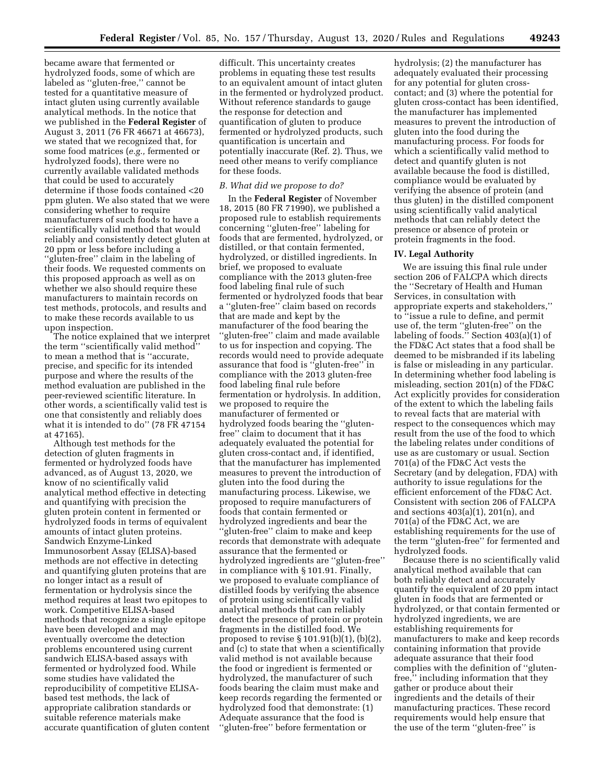became aware that fermented or hydrolyzed foods, some of which are labeled as ''gluten-free,'' cannot be tested for a quantitative measure of intact gluten using currently available analytical methods. In the notice that we published in the **Federal Register** of August 3, 2011 (76 FR 46671 at 46673), we stated that we recognized that, for some food matrices (*e.g.,* fermented or hydrolyzed foods), there were no currently available validated methods that could be used to accurately determine if those foods contained <20 ppm gluten. We also stated that we were considering whether to require manufacturers of such foods to have a scientifically valid method that would reliably and consistently detect gluten at 20 ppm or less before including a ''gluten-free'' claim in the labeling of their foods. We requested comments on this proposed approach as well as on whether we also should require these manufacturers to maintain records on test methods, protocols, and results and to make these records available to us upon inspection.

The notice explained that we interpret the term ''scientifically valid method'' to mean a method that is ''accurate, precise, and specific for its intended purpose and where the results of the method evaluation are published in the peer-reviewed scientific literature. In other words, a scientifically valid test is one that consistently and reliably does what it is intended to do'' (78 FR 47154 at 47165).

Although test methods for the detection of gluten fragments in fermented or hydrolyzed foods have advanced, as of August 13, 2020, we know of no scientifically valid analytical method effective in detecting and quantifying with precision the gluten protein content in fermented or hydrolyzed foods in terms of equivalent amounts of intact gluten proteins. Sandwich Enzyme-Linked Immunosorbent Assay (ELISA)-based methods are not effective in detecting and quantifying gluten proteins that are no longer intact as a result of fermentation or hydrolysis since the method requires at least two epitopes to work. Competitive ELISA-based methods that recognize a single epitope have been developed and may eventually overcome the detection problems encountered using current sandwich ELISA-based assays with fermented or hydrolyzed food. While some studies have validated the reproducibility of competitive ELISAbased test methods, the lack of appropriate calibration standards or suitable reference materials make accurate quantification of gluten content difficult. This uncertainty creates problems in equating these test results to an equivalent amount of intact gluten in the fermented or hydrolyzed product. Without reference standards to gauge the response for detection and quantification of gluten to produce fermented or hydrolyzed products, such quantification is uncertain and potentially inaccurate (Ref. 2). Thus, we need other means to verify compliance for these foods.

## *B. What did we propose to do?*

In the **Federal Register** of November 18, 2015 (80 FR 71990), we published a proposed rule to establish requirements concerning ''gluten-free'' labeling for foods that are fermented, hydrolyzed, or distilled, or that contain fermented, hydrolyzed, or distilled ingredients. In brief, we proposed to evaluate compliance with the 2013 gluten-free food labeling final rule of such fermented or hydrolyzed foods that bear a ''gluten-free'' claim based on records that are made and kept by the manufacturer of the food bearing the ''gluten-free'' claim and made available to us for inspection and copying. The records would need to provide adequate assurance that food is ''gluten-free'' in compliance with the 2013 gluten-free food labeling final rule before fermentation or hydrolysis. In addition, we proposed to require the manufacturer of fermented or hydrolyzed foods bearing the ''glutenfree'' claim to document that it has adequately evaluated the potential for gluten cross-contact and, if identified, that the manufacturer has implemented measures to prevent the introduction of gluten into the food during the manufacturing process. Likewise, we proposed to require manufacturers of foods that contain fermented or hydrolyzed ingredients and bear the ''gluten-free'' claim to make and keep records that demonstrate with adequate assurance that the fermented or hydrolyzed ingredients are ''gluten-free'' in compliance with § 101.91. Finally, we proposed to evaluate compliance of distilled foods by verifying the absence of protein using scientifically valid analytical methods that can reliably detect the presence of protein or protein fragments in the distilled food. We proposed to revise § 101.91(b)(1), (b)(2), and (c) to state that when a scientifically valid method is not available because the food or ingredient is fermented or hydrolyzed, the manufacturer of such foods bearing the claim must make and keep records regarding the fermented or hydrolyzed food that demonstrate: (1) Adequate assurance that the food is ''gluten-free'' before fermentation or

hydrolysis; (2) the manufacturer has adequately evaluated their processing for any potential for gluten crosscontact; and (3) where the potential for gluten cross-contact has been identified, the manufacturer has implemented measures to prevent the introduction of gluten into the food during the manufacturing process. For foods for which a scientifically valid method to detect and quantify gluten is not available because the food is distilled, compliance would be evaluated by verifying the absence of protein (and thus gluten) in the distilled component using scientifically valid analytical methods that can reliably detect the presence or absence of protein or protein fragments in the food.

#### **IV. Legal Authority**

We are issuing this final rule under section 206 of FALCPA which directs the ''Secretary of Health and Human Services, in consultation with appropriate experts and stakeholders,'' to ''issue a rule to define, and permit use of, the term ''gluten-free'' on the labeling of foods.'' Section 403(a)(1) of the FD&C Act states that a food shall be deemed to be misbranded if its labeling is false or misleading in any particular. In determining whether food labeling is misleading, section 201(n) of the FD&C Act explicitly provides for consideration of the extent to which the labeling fails to reveal facts that are material with respect to the consequences which may result from the use of the food to which the labeling relates under conditions of use as are customary or usual. Section 701(a) of the FD&C Act vests the Secretary (and by delegation, FDA) with authority to issue regulations for the efficient enforcement of the FD&C Act. Consistent with section 206 of FALCPA and sections 403(a)(1), 201(n), and 701(a) of the FD&C Act, we are establishing requirements for the use of the term ''gluten-free'' for fermented and hydrolyzed foods.

Because there is no scientifically valid analytical method available that can both reliably detect and accurately quantify the equivalent of 20 ppm intact gluten in foods that are fermented or hydrolyzed, or that contain fermented or hydrolyzed ingredients, we are establishing requirements for manufacturers to make and keep records containing information that provide adequate assurance that their food complies with the definition of ''glutenfree,'' including information that they gather or produce about their ingredients and the details of their manufacturing practices. These record requirements would help ensure that the use of the term ''gluten-free'' is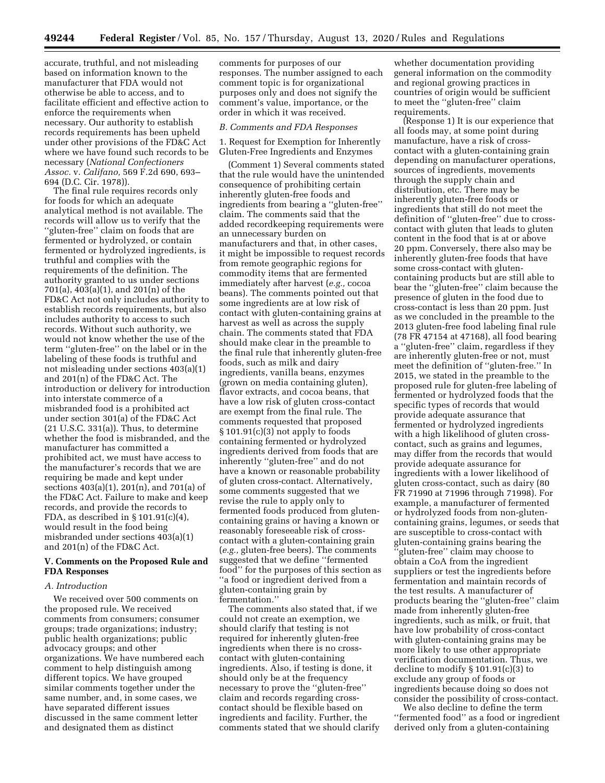accurate, truthful, and not misleading based on information known to the manufacturer that FDA would not otherwise be able to access, and to facilitate efficient and effective action to enforce the requirements when necessary. Our authority to establish records requirements has been upheld under other provisions of the FD&C Act where we have found such records to be necessary (*National Confectioners Assoc.* v. *Califano,* 569 F.2d 690, 693– 694 (D.C. Cir. 1978)).

The final rule requires records only for foods for which an adequate analytical method is not available. The records will allow us to verify that the ''gluten-free'' claim on foods that are fermented or hydrolyzed, or contain fermented or hydrolyzed ingredients, is truthful and complies with the requirements of the definition. The authority granted to us under sections 701(a), 403(a)(1), and 201(n) of the FD&C Act not only includes authority to establish records requirements, but also includes authority to access to such records. Without such authority, we would not know whether the use of the term ''gluten-free'' on the label or in the labeling of these foods is truthful and not misleading under sections 403(a)(1) and 201(n) of the FD&C Act. The introduction or delivery for introduction into interstate commerce of a misbranded food is a prohibited act under section 301(a) of the FD&C Act  $(21 U.S.C. 331(a))$ . Thus, to determine whether the food is misbranded, and the manufacturer has committed a prohibited act, we must have access to the manufacturer's records that we are requiring be made and kept under sections 403(a)(1), 201(n), and 701(a) of the FD&C Act. Failure to make and keep records, and provide the records to FDA, as described in  $\S 101.91(c)(4)$ , would result in the food being misbranded under sections 403(a)(1) and 201(n) of the FD&C Act.

## **V. Comments on the Proposed Rule and FDA Responses**

## *A. Introduction*

We received over 500 comments on the proposed rule. We received comments from consumers; consumer groups; trade organizations; industry; public health organizations; public advocacy groups; and other organizations. We have numbered each comment to help distinguish among different topics. We have grouped similar comments together under the same number, and, in some cases, we have separated different issues discussed in the same comment letter and designated them as distinct

comments for purposes of our responses. The number assigned to each comment topic is for organizational purposes only and does not signify the comment's value, importance, or the order in which it was received.

#### *B. Comments and FDA Responses*

1. Request for Exemption for Inherently Gluten-Free Ingredients and Enzymes

(Comment 1) Several comments stated that the rule would have the unintended consequence of prohibiting certain inherently gluten-free foods and ingredients from bearing a ''gluten-free'' claim. The comments said that the added recordkeeping requirements were an unnecessary burden on manufacturers and that, in other cases, it might be impossible to request records from remote geographic regions for commodity items that are fermented immediately after harvest (*e.g.,* cocoa beans). The comments pointed out that some ingredients are at low risk of contact with gluten-containing grains at harvest as well as across the supply chain. The comments stated that FDA should make clear in the preamble to the final rule that inherently gluten-free foods, such as milk and dairy ingredients, vanilla beans, enzymes (grown on media containing gluten), flavor extracts, and cocoa beans, that have a low risk of gluten cross-contact are exempt from the final rule. The comments requested that proposed § 101.91(c)(3) not apply to foods containing fermented or hydrolyzed ingredients derived from foods that are inherently ''gluten-free'' and do not have a known or reasonable probability of gluten cross-contact. Alternatively, some comments suggested that we revise the rule to apply only to fermented foods produced from glutencontaining grains or having a known or reasonably foreseeable risk of crosscontact with a gluten-containing grain (*e.g.,* gluten-free beers). The comments suggested that we define ''fermented food'' for the purposes of this section as ''a food or ingredient derived from a gluten-containing grain by fermentation.''

The comments also stated that, if we could not create an exemption, we should clarify that testing is not required for inherently gluten-free ingredients when there is no crosscontact with gluten-containing ingredients. Also, if testing is done, it should only be at the frequency necessary to prove the ''gluten-free'' claim and records regarding crosscontact should be flexible based on ingredients and facility. Further, the comments stated that we should clarify

whether documentation providing general information on the commodity and regional growing practices in countries of origin would be sufficient to meet the ''gluten-free'' claim requirements.

(Response 1) It is our experience that all foods may, at some point during manufacture, have a risk of crosscontact with a gluten-containing grain depending on manufacturer operations, sources of ingredients, movements through the supply chain and distribution, etc. There may be inherently gluten-free foods or ingredients that still do not meet the definition of ''gluten-free'' due to crosscontact with gluten that leads to gluten content in the food that is at or above 20 ppm. Conversely, there also may be inherently gluten-free foods that have some cross-contact with glutencontaining products but are still able to bear the ''gluten-free'' claim because the presence of gluten in the food due to cross-contact is less than 20 ppm. Just as we concluded in the preamble to the 2013 gluten-free food labeling final rule (78 FR 47154 at 47168), all food bearing a ''gluten-free'' claim, regardless if they are inherently gluten-free or not, must meet the definition of ''gluten-free.'' In 2015, we stated in the preamble to the proposed rule for gluten-free labeling of fermented or hydrolyzed foods that the specific types of records that would provide adequate assurance that fermented or hydrolyzed ingredients with a high likelihood of gluten crosscontact, such as grains and legumes, may differ from the records that would provide adequate assurance for ingredients with a lower likelihood of gluten cross-contact, such as dairy (80 FR 71990 at 71996 through 71998). For example, a manufacturer of fermented or hydrolyzed foods from non-glutencontaining grains, legumes, or seeds that are susceptible to cross-contact with gluten-containing grains bearing the 'gluten-free'' claim may choose to obtain a CoA from the ingredient suppliers or test the ingredients before fermentation and maintain records of the test results. A manufacturer of products bearing the ''gluten-free'' claim made from inherently gluten-free ingredients, such as milk, or fruit, that have low probability of cross-contact with gluten-containing grains may be more likely to use other appropriate verification documentation. Thus, we decline to modify § 101.91(c)(3) to exclude any group of foods or ingredients because doing so does not consider the possibility of cross-contact.

We also decline to define the term ''fermented food'' as a food or ingredient derived only from a gluten-containing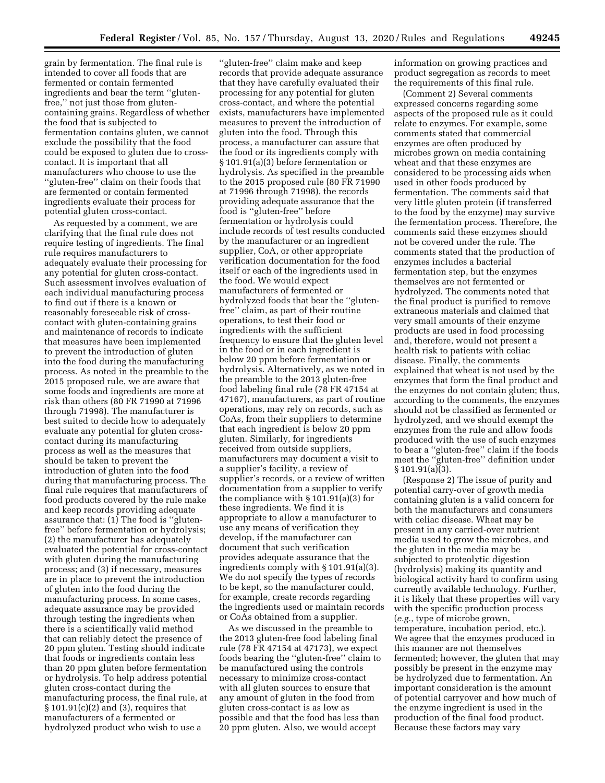grain by fermentation. The final rule is intended to cover all foods that are fermented or contain fermented ingredients and bear the term ''glutenfree,'' not just those from glutencontaining grains. Regardless of whether the food that is subjected to fermentation contains gluten, we cannot exclude the possibility that the food could be exposed to gluten due to crosscontact. It is important that all manufacturers who choose to use the ''gluten-free'' claim on their foods that are fermented or contain fermented ingredients evaluate their process for potential gluten cross-contact.

As requested by a comment, we are clarifying that the final rule does not require testing of ingredients. The final rule requires manufacturers to adequately evaluate their processing for any potential for gluten cross-contact. Such assessment involves evaluation of each individual manufacturing process to find out if there is a known or reasonably foreseeable risk of crosscontact with gluten-containing grains and maintenance of records to indicate that measures have been implemented to prevent the introduction of gluten into the food during the manufacturing process. As noted in the preamble to the 2015 proposed rule, we are aware that some foods and ingredients are more at risk than others (80 FR 71990 at 71996 through 71998). The manufacturer is best suited to decide how to adequately evaluate any potential for gluten crosscontact during its manufacturing process as well as the measures that should be taken to prevent the introduction of gluten into the food during that manufacturing process. The final rule requires that manufacturers of food products covered by the rule make and keep records providing adequate assurance that: (1) The food is ''glutenfree'' before fermentation or hydrolysis; (2) the manufacturer has adequately evaluated the potential for cross-contact with gluten during the manufacturing process; and (3) if necessary, measures are in place to prevent the introduction of gluten into the food during the manufacturing process. In some cases, adequate assurance may be provided through testing the ingredients when there is a scientifically valid method that can reliably detect the presence of 20 ppm gluten. Testing should indicate that foods or ingredients contain less than 20 ppm gluten before fermentation or hydrolysis. To help address potential gluten cross-contact during the manufacturing process, the final rule, at § 101.91(c)(2) and (3), requires that manufacturers of a fermented or hydrolyzed product who wish to use a

''gluten-free'' claim make and keep records that provide adequate assurance that they have carefully evaluated their processing for any potential for gluten cross-contact, and where the potential exists, manufacturers have implemented measures to prevent the introduction of gluten into the food. Through this process, a manufacturer can assure that the food or its ingredients comply with § 101.91(a)(3) before fermentation or hydrolysis. As specified in the preamble to the 2015 proposed rule (80 FR 71990 at 71996 through 71998), the records providing adequate assurance that the food is ''gluten-free'' before fermentation or hydrolysis could include records of test results conducted by the manufacturer or an ingredient supplier, CoA, or other appropriate verification documentation for the food itself or each of the ingredients used in the food. We would expect manufacturers of fermented or hydrolyzed foods that bear the ''glutenfree'' claim, as part of their routine operations, to test their food or ingredients with the sufficient frequency to ensure that the gluten level in the food or in each ingredient is below 20 ppm before fermentation or hydrolysis. Alternatively, as we noted in the preamble to the 2013 gluten-free food labeling final rule (78 FR 47154 at 47167), manufacturers, as part of routine operations, may rely on records, such as CoAs, from their suppliers to determine that each ingredient is below 20 ppm gluten. Similarly, for ingredients received from outside suppliers, manufacturers may document a visit to a supplier's facility, a review of supplier's records, or a review of written documentation from a supplier to verify the compliance with § 101.91(a)(3) for these ingredients. We find it is appropriate to allow a manufacturer to use any means of verification they develop, if the manufacturer can document that such verification provides adequate assurance that the ingredients comply with § 101.91(a)(3). We do not specify the types of records to be kept, so the manufacturer could, for example, create records regarding the ingredients used or maintain records or CoAs obtained from a supplier.

As we discussed in the preamble to the 2013 gluten-free food labeling final rule (78 FR 47154 at 47173), we expect foods bearing the ''gluten-free'' claim to be manufactured using the controls necessary to minimize cross-contact with all gluten sources to ensure that any amount of gluten in the food from gluten cross-contact is as low as possible and that the food has less than 20 ppm gluten. Also, we would accept

information on growing practices and product segregation as records to meet the requirements of this final rule.

(Comment 2) Several comments expressed concerns regarding some aspects of the proposed rule as it could relate to enzymes. For example, some comments stated that commercial enzymes are often produced by microbes grown on media containing wheat and that these enzymes are considered to be processing aids when used in other foods produced by fermentation. The comments said that very little gluten protein (if transferred to the food by the enzyme) may survive the fermentation process. Therefore, the comments said these enzymes should not be covered under the rule. The comments stated that the production of enzymes includes a bacterial fermentation step, but the enzymes themselves are not fermented or hydrolyzed. The comments noted that the final product is purified to remove extraneous materials and claimed that very small amounts of their enzyme products are used in food processing and, therefore, would not present a health risk to patients with celiac disease. Finally, the comments explained that wheat is not used by the enzymes that form the final product and the enzymes do not contain gluten; thus, according to the comments, the enzymes should not be classified as fermented or hydrolyzed, and we should exempt the enzymes from the rule and allow foods produced with the use of such enzymes to bear a ''gluten-free'' claim if the foods meet the ''gluten-free'' definition under  $§ 101.91(a)(3).$ 

(Response 2) The issue of purity and potential carry-over of growth media containing gluten is a valid concern for both the manufacturers and consumers with celiac disease. Wheat may be present in any carried-over nutrient media used to grow the microbes, and the gluten in the media may be subjected to proteolytic digestion (hydrolysis) making its quantity and biological activity hard to confirm using currently available technology. Further, it is likely that these properties will vary with the specific production process (*e.g.,* type of microbe grown, temperature, incubation period, etc.). We agree that the enzymes produced in this manner are not themselves fermented; however, the gluten that may possibly be present in the enzyme may be hydrolyzed due to fermentation. An important consideration is the amount of potential carryover and how much of the enzyme ingredient is used in the production of the final food product. Because these factors may vary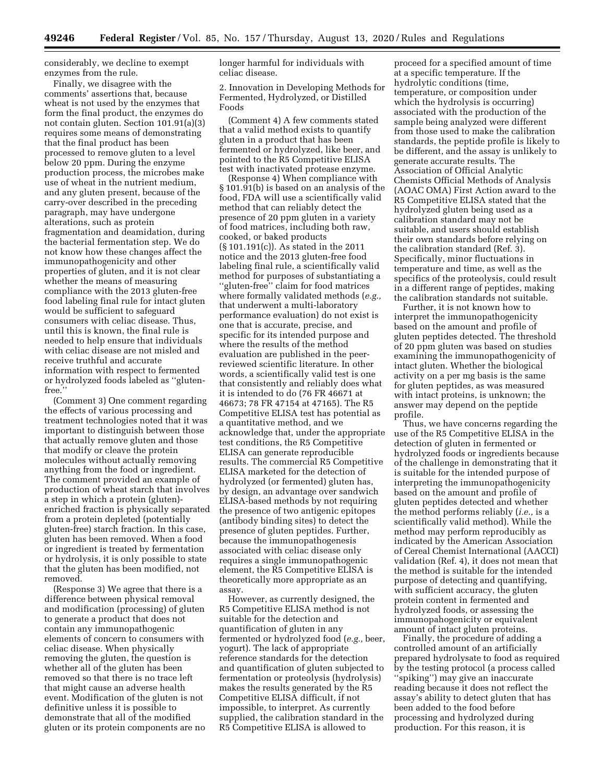considerably, we decline to exempt enzymes from the rule.

Finally, we disagree with the comments' assertions that, because wheat is not used by the enzymes that form the final product, the enzymes do not contain gluten. Section 101.91(a)(3) requires some means of demonstrating that the final product has been processed to remove gluten to a level below 20 ppm. During the enzyme production process, the microbes make use of wheat in the nutrient medium, and any gluten present, because of the carry-over described in the preceding paragraph, may have undergone alterations, such as protein fragmentation and deamidation, during the bacterial fermentation step. We do not know how these changes affect the immunopathogenicity and other properties of gluten, and it is not clear whether the means of measuring compliance with the 2013 gluten-free food labeling final rule for intact gluten would be sufficient to safeguard consumers with celiac disease. Thus, until this is known, the final rule is needed to help ensure that individuals with celiac disease are not misled and receive truthful and accurate information with respect to fermented or hydrolyzed foods labeled as ''glutenfree.''

(Comment 3) One comment regarding the effects of various processing and treatment technologies noted that it was important to distinguish between those that actually remove gluten and those that modify or cleave the protein molecules without actually removing anything from the food or ingredient. The comment provided an example of production of wheat starch that involves a step in which a protein (gluten) enriched fraction is physically separated from a protein depleted (potentially gluten-free) starch fraction. In this case, gluten has been removed. When a food or ingredient is treated by fermentation or hydrolysis, it is only possible to state that the gluten has been modified, not removed.

(Response 3) We agree that there is a difference between physical removal and modification (processing) of gluten to generate a product that does not contain any immunopathogenic elements of concern to consumers with celiac disease. When physically removing the gluten, the question is whether all of the gluten has been removed so that there is no trace left that might cause an adverse health event. Modification of the gluten is not definitive unless it is possible to demonstrate that all of the modified gluten or its protein components are no longer harmful for individuals with celiac disease.

2. Innovation in Developing Methods for Fermented, Hydrolyzed, or Distilled Foods

(Comment 4) A few comments stated that a valid method exists to quantify gluten in a product that has been fermented or hydrolyzed, like beer, and pointed to the R5 Competitive ELISA test with inactivated protease enzyme.

(Response 4) When compliance with § 101.91(b) is based on an analysis of the food, FDA will use a scientifically valid method that can reliably detect the presence of 20 ppm gluten in a variety of food matrices, including both raw, cooked, or baked products (§ 101.191(c)). As stated in the 2011 notice and the 2013 gluten-free food labeling final rule, a scientifically valid method for purposes of substantiating a ''gluten-free'' claim for food matrices where formally validated methods (*e.g.,*  that underwent a multi-laboratory performance evaluation) do not exist is one that is accurate, precise, and specific for its intended purpose and where the results of the method evaluation are published in the peerreviewed scientific literature. In other words, a scientifically valid test is one that consistently and reliably does what it is intended to do (76 FR 46671 at 46673; 78 FR 47154 at 47165). The R5 Competitive ELISA test has potential as a quantitative method, and we acknowledge that, under the appropriate test conditions, the R5 Competitive ELISA can generate reproducible results. The commercial R5 Competitive ELISA marketed for the detection of hydrolyzed (or fermented) gluten has, by design, an advantage over sandwich ELISA-based methods by not requiring the presence of two antigenic epitopes (antibody binding sites) to detect the presence of gluten peptides. Further, because the immunopathogenesis associated with celiac disease only requires a single immunopathogenic element, the R5 Competitive ELISA is theoretically more appropriate as an assay.

However, as currently designed, the R5 Competitive ELISA method is not suitable for the detection and quantification of gluten in any fermented or hydrolyzed food (*e.g.,* beer, yogurt). The lack of appropriate reference standards for the detection and quantification of gluten subjected to fermentation or proteolysis (hydrolysis) makes the results generated by the R5 Competitive ELISA difficult, if not impossible, to interpret. As currently supplied, the calibration standard in the R5 Competitive ELISA is allowed to

proceed for a specified amount of time at a specific temperature. If the hydrolytic conditions (time, temperature, or composition under which the hydrolysis is occurring) associated with the production of the sample being analyzed were different from those used to make the calibration standards, the peptide profile is likely to be different, and the assay is unlikely to generate accurate results. The Association of Official Analytic Chemists Official Methods of Analysis (AOAC OMA) First Action award to the R5 Competitive ELISA stated that the hydrolyzed gluten being used as a calibration standard may not be suitable, and users should establish their own standards before relying on the calibration standard (Ref. 3). Specifically, minor fluctuations in temperature and time, as well as the specifics of the proteolysis, could result in a different range of peptides, making the calibration standards not suitable.

Further, it is not known how to interpret the immunopathogenicity based on the amount and profile of gluten peptides detected. The threshold of 20 ppm gluten was based on studies examining the immunopathogenicity of intact gluten. Whether the biological activity on a per mg basis is the same for gluten peptides, as was measured with intact proteins, is unknown; the answer may depend on the peptide profile.

Thus, we have concerns regarding the use of the R5 Competitive ELISA in the detection of gluten in fermented or hydrolyzed foods or ingredients because of the challenge in demonstrating that it is suitable for the intended purpose of interpreting the immunopathogenicity based on the amount and profile of gluten peptides detected and whether the method performs reliably (*i.e.,* is a scientifically valid method). While the method may perform reproducibly as indicated by the American Association of Cereal Chemist International (AACCI) validation (Ref. 4), it does not mean that the method is suitable for the intended purpose of detecting and quantifying, with sufficient accuracy, the gluten protein content in fermented and hydrolyzed foods, or assessing the immunopahogenicity or equivalent amount of intact gluten proteins.

Finally, the procedure of adding a controlled amount of an artificially prepared hydrolysate to food as required by the testing protocol (a process called ''spiking'') may give an inaccurate reading because it does not reflect the assay's ability to detect gluten that has been added to the food before processing and hydrolyzed during production. For this reason, it is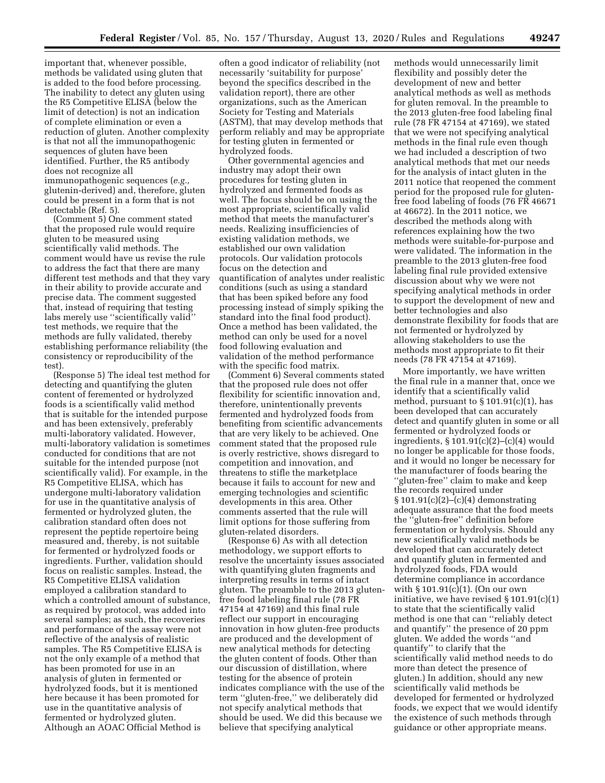important that, whenever possible, methods be validated using gluten that is added to the food before processing. The inability to detect any gluten using the R5 Competitive ELISA (below the limit of detection) is not an indication of complete elimination or even a reduction of gluten. Another complexity is that not all the immunopathogenic sequences of gluten have been identified. Further, the R5 antibody does not recognize all immunopathogenic sequences (*e.g.,*  glutenin-derived) and, therefore, gluten could be present in a form that is not detectable (Ref. 5).

(Comment 5) One comment stated that the proposed rule would require gluten to be measured using scientifically valid methods. The comment would have us revise the rule to address the fact that there are many different test methods and that they vary in their ability to provide accurate and precise data. The comment suggested that, instead of requiring that testing labs merely use ''scientifically valid'' test methods, we require that the methods are fully validated, thereby establishing performance reliability (the consistency or reproducibility of the test).

(Response 5) The ideal test method for detecting and quantifying the gluten content of feremented or hydrolyzed foods is a scientifically valid method that is suitable for the intended purpose and has been extensively, preferably multi-laboratory validated. However, multi-laboratory validation is sometimes conducted for conditions that are not suitable for the intended purpose (not scientifically valid). For example, in the R5 Competitive ELISA, which has undergone multi-laboratory validation for use in the quantitative analysis of fermented or hydrolyzed gluten, the calibration standard often does not represent the peptide repertoire being measured and, thereby, is not suitable for fermented or hydrolyzed foods or ingredients. Further, validation should focus on realistic samples. Instead, the R5 Competitive ELISA validation employed a calibration standard to which a controlled amount of substance, as required by protocol, was added into several samples; as such, the recoveries and performance of the assay were not reflective of the analysis of realistic samples. The R5 Competitive ELISA is not the only example of a method that has been promoted for use in an analysis of gluten in fermented or hydrolyzed foods, but it is mentioned here because it has been promoted for use in the quantitative analysis of fermented or hydrolyzed gluten. Although an AOAC Official Method is

often a good indicator of reliability (not necessarily 'suitability for purpose' beyond the specifics described in the validation report), there are other organizations, such as the American Society for Testing and Materials (ASTM), that may develop methods that perform reliably and may be appropriate for testing gluten in fermented or hydrolyzed foods.

Other governmental agencies and industry may adopt their own procedures for testing gluten in hydrolyzed and fermented foods as well. The focus should be on using the most appropriate, scientifically valid method that meets the manufacturer's needs. Realizing insufficiencies of existing validation methods, we established our own validation protocols. Our validation protocols focus on the detection and quantification of analytes under realistic conditions (such as using a standard that has been spiked before any food processing instead of simply spiking the standard into the final food product). Once a method has been validated, the method can only be used for a novel food following evaluation and validation of the method performance with the specific food matrix.

(Comment 6) Several comments stated that the proposed rule does not offer flexibility for scientific innovation and, therefore, unintentionally prevents fermented and hydrolyzed foods from benefiting from scientific advancements that are very likely to be achieved. One comment stated that the proposed rule is overly restrictive, shows disregard to competition and innovation, and threatens to stifle the marketplace because it fails to account for new and emerging technologies and scientific developments in this area. Other comments asserted that the rule will limit options for those suffering from gluten-related disorders.

(Response 6) As with all detection methodology, we support efforts to resolve the uncertainty issues associated with quantifying gluten fragments and interpreting results in terms of intact gluten. The preamble to the 2013 glutenfree food labeling final rule (78 FR 47154 at 47169) and this final rule reflect our support in encouraging innovation in how gluten-free products are produced and the development of new analytical methods for detecting the gluten content of foods. Other than our discussion of distillation, where testing for the absence of protein indicates compliance with the use of the term ''gluten-free,'' we deliberately did not specify analytical methods that should be used. We did this because we believe that specifying analytical

methods would unnecessarily limit flexibility and possibly deter the development of new and better analytical methods as well as methods for gluten removal. In the preamble to the 2013 gluten-free food labeling final rule (78 FR 47154 at 47169), we stated that we were not specifying analytical methods in the final rule even though we had included a description of two analytical methods that met our needs for the analysis of intact gluten in the 2011 notice that reopened the comment period for the proposed rule for glutenfree food labeling of foods (76 FR 46671 at 46672). In the 2011 notice, we described the methods along with references explaining how the two methods were suitable-for-purpose and were validated. The information in the preamble to the 2013 gluten-free food labeling final rule provided extensive discussion about why we were not specifying analytical methods in order to support the development of new and better technologies and also demonstrate flexibility for foods that are not fermented or hydrolyzed by allowing stakeholders to use the methods most appropriate to fit their needs (78 FR 47154 at 47169).

More importantly, we have written the final rule in a manner that, once we identify that a scientifically valid method, pursuant to  $\S 101.91(c)(1)$ , has been developed that can accurately detect and quantify gluten in some or all fermented or hydrolyzed foods or ingredients, § 101.91(c)(2)–(c)(4) would no longer be applicable for those foods, and it would no longer be necessary for the manufacturer of foods bearing the ''gluten-free'' claim to make and keep the records required under § 101.91(c)(2)–(c)(4) demonstrating adequate assurance that the food meets the ''gluten-free'' definition before fermentation or hydrolysis. Should any new scientifically valid methods be developed that can accurately detect and quantify gluten in fermented and hydrolyzed foods, FDA would determine compliance in accordance with § 101.91(c)(1). (On our own initiative, we have revised § 101.91(c)(1) to state that the scientifically valid method is one that can ''reliably detect and quantify'' the presence of 20 ppm gluten. We added the words ''and quantify'' to clarify that the scientifically valid method needs to do more than detect the presence of gluten.) In addition, should any new scientifically valid methods be developed for fermented or hydrolyzed foods, we expect that we would identify the existence of such methods through guidance or other appropriate means.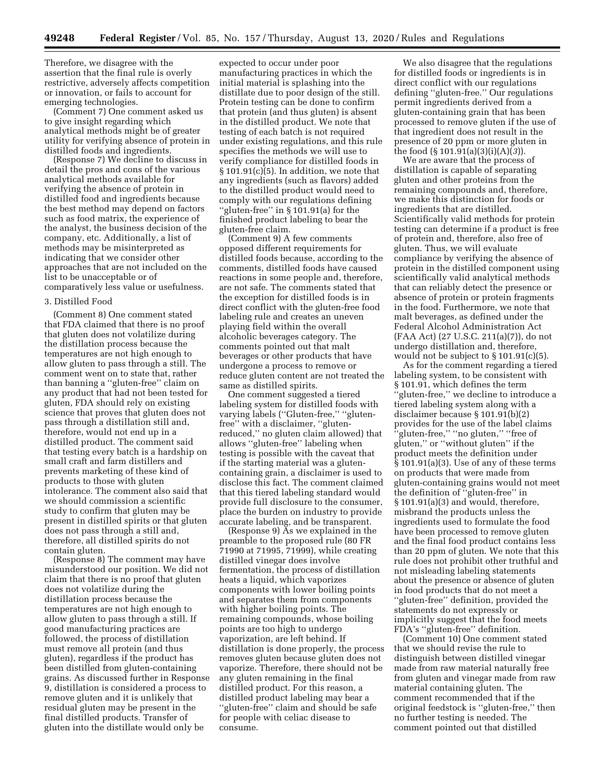Therefore, we disagree with the assertion that the final rule is overly restrictive, adversely affects competition or innovation, or fails to account for emerging technologies.

(Comment 7) One comment asked us to give insight regarding which analytical methods might be of greater utility for verifying absence of protein in distilled foods and ingredients.

(Response 7) We decline to discuss in detail the pros and cons of the various analytical methods available for verifying the absence of protein in distilled food and ingredients because the best method may depend on factors such as food matrix, the experience of the analyst, the business decision of the company, etc. Additionally, a list of methods may be misinterpreted as indicating that we consider other approaches that are not included on the list to be unacceptable or of comparatively less value or usefulness.

#### 3. Distilled Food

(Comment 8) One comment stated that FDA claimed that there is no proof that gluten does not volatilize during the distillation process because the temperatures are not high enough to allow gluten to pass through a still. The comment went on to state that, rather than banning a ''gluten-free'' claim on any product that had not been tested for gluten, FDA should rely on existing science that proves that gluten does not pass through a distillation still and, therefore, would not end up in a distilled product. The comment said that testing every batch is a hardship on small craft and farm distillers and prevents marketing of these kind of products to those with gluten intolerance. The comment also said that we should commission a scientific study to confirm that gluten may be present in distilled spirits or that gluten does not pass through a still and, therefore, all distilled spirits do not contain gluten.

(Response 8) The comment may have misunderstood our position. We did not claim that there is no proof that gluten does not volatilize during the distillation process because the temperatures are not high enough to allow gluten to pass through a still. If good manufacturing practices are followed, the process of distillation must remove all protein (and thus gluten), regardless if the product has been distilled from gluten-containing grains. As discussed further in Response 9, distillation is considered a process to remove gluten and it is unlikely that residual gluten may be present in the final distilled products. Transfer of gluten into the distillate would only be

expected to occur under poor manufacturing practices in which the initial material is splashing into the distillate due to poor design of the still. Protein testing can be done to confirm that protein (and thus gluten) is absent in the distilled product. We note that testing of each batch is not required under existing regulations, and this rule specifies the methods we will use to verify compliance for distilled foods in § 101.91(c)(5). In addition, we note that any ingredients (such as flavors) added to the distilled product would need to comply with our regulations defining ''gluten-free'' in § 101.91(a) for the finished product labeling to bear the gluten-free claim.

(Comment 9) A few comments opposed different requirements for distilled foods because, according to the comments, distilled foods have caused reactions in some people and, therefore, are not safe. The comments stated that the exception for distilled foods is in direct conflict with the gluten-free food labeling rule and creates an uneven playing field within the overall alcoholic beverages category. The comments pointed out that malt beverages or other products that have undergone a process to remove or reduce gluten content are not treated the same as distilled spirits.

One comment suggested a tiered labeling system for distilled foods with varying labels (''Gluten-free,'' ''glutenfree'' with a disclaimer, ''glutenreduced,'' no gluten claim allowed) that allows ''gluten-free'' labeling when testing is possible with the caveat that if the starting material was a glutencontaining grain, a disclaimer is used to disclose this fact. The comment claimed that this tiered labeling standard would provide full disclosure to the consumer, place the burden on industry to provide accurate labeling, and be transparent.

(Response 9) As we explained in the preamble to the proposed rule (80 FR 71990 at 71995, 71999), while creating distilled vinegar does involve fermentation, the process of distillation heats a liquid, which vaporizes components with lower boiling points and separates them from components with higher boiling points. The remaining compounds, whose boiling points are too high to undergo vaporization, are left behind. If distillation is done properly, the process removes gluten because gluten does not vaporize. Therefore, there should not be any gluten remaining in the final distilled product. For this reason, a distilled product labeling may bear a ''gluten-free'' claim and should be safe for people with celiac disease to consume.

We also disagree that the regulations for distilled foods or ingredients is in direct conflict with our regulations defining ''gluten-free.'' Our regulations permit ingredients derived from a gluten-containing grain that has been processed to remove gluten if the use of that ingredient does not result in the presence of 20 ppm or more gluten in the food  $(\S 101.91(a)(3)(i)(A)(3))$ .

We are aware that the process of distillation is capable of separating gluten and other proteins from the remaining compounds and, therefore, we make this distinction for foods or ingredients that are distilled. Scientifically valid methods for protein testing can determine if a product is free of protein and, therefore, also free of gluten. Thus, we will evaluate compliance by verifying the absence of protein in the distilled component using scientifically valid analytical methods that can reliably detect the presence or absence of protein or protein fragments in the food. Furthermore, we note that malt beverages, as defined under the Federal Alcohol Administration Act (FAA Act) (27 U.S.C. 211(a)(7)), do not undergo distillation and, therefore, would not be subject to  $\S 101.91(c)(5)$ .

As for the comment regarding a tiered labeling system, to be consistent with § 101.91, which defines the term ''gluten-free,'' we decline to introduce a tiered labeling system along with a disclaimer because § 101.91(b)(2) provides for the use of the label claims ''gluten-free,'' ''no gluten,'' ''free of gluten,'' or ''without gluten'' if the product meets the definition under § 101.91(a)(3). Use of any of these terms on products that were made from gluten-containing grains would not meet the definition of ''gluten-free'' in § 101.91(a)(3) and would, therefore, misbrand the products unless the ingredients used to formulate the food have been processed to remove gluten and the final food product contains less than 20 ppm of gluten. We note that this rule does not prohibit other truthful and not misleading labeling statements about the presence or absence of gluten in food products that do not meet a ''gluten-free'' definition, provided the statements do not expressly or implicitly suggest that the food meets FDA's ''gluten-free'' definition.

(Comment 10) One comment stated that we should revise the rule to distinguish between distilled vinegar made from raw material naturally free from gluten and vinegar made from raw material containing gluten. The comment recommended that if the original feedstock is ''gluten-free,'' then no further testing is needed. The comment pointed out that distilled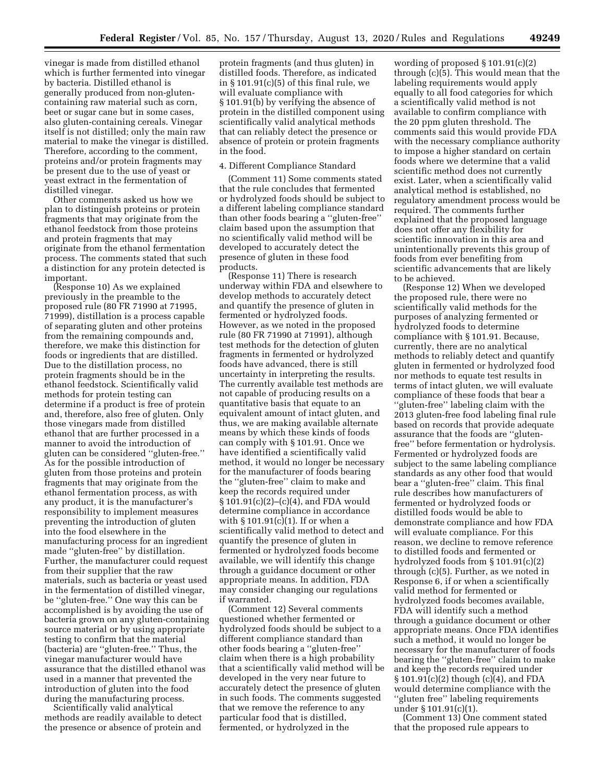vinegar is made from distilled ethanol which is further fermented into vinegar by bacteria. Distilled ethanol is generally produced from non-glutencontaining raw material such as corn, beet or sugar cane but in some cases, also gluten-containing cereals. Vinegar itself is not distilled; only the main raw material to make the vinegar is distilled. Therefore, according to the comment, proteins and/or protein fragments may be present due to the use of yeast or yeast extract in the fermentation of distilled vinegar.

Other comments asked us how we plan to distinguish proteins or protein fragments that may originate from the ethanol feedstock from those proteins and protein fragments that may originate from the ethanol fermentation process. The comments stated that such a distinction for any protein detected is important.

(Response 10) As we explained previously in the preamble to the proposed rule (80 FR 71990 at 71995, 71999), distillation is a process capable of separating gluten and other proteins from the remaining compounds and, therefore, we make this distinction for foods or ingredients that are distilled. Due to the distillation process, no protein fragments should be in the ethanol feedstock. Scientifically valid methods for protein testing can determine if a product is free of protein and, therefore, also free of gluten. Only those vinegars made from distilled ethanol that are further processed in a manner to avoid the introduction of gluten can be considered ''gluten-free.'' As for the possible introduction of gluten from those proteins and protein fragments that may originate from the ethanol fermentation process, as with any product, it is the manufacturer's responsibility to implement measures preventing the introduction of gluten into the food elsewhere in the manufacturing process for an ingredient made ''gluten-free'' by distillation. Further, the manufacturer could request from their supplier that the raw materials, such as bacteria or yeast used in the fermentation of distilled vinegar, be ''gluten-free.'' One way this can be accomplished is by avoiding the use of bacteria grown on any gluten-containing source material or by using appropriate testing to confirm that the material (bacteria) are ''gluten-free.'' Thus, the vinegar manufacturer would have assurance that the distilled ethanol was used in a manner that prevented the introduction of gluten into the food during the manufacturing process.

Scientifically valid analytical methods are readily available to detect the presence or absence of protein and protein fragments (and thus gluten) in distilled foods. Therefore, as indicated in § 101.91(c)(5) of this final rule, we will evaluate compliance with § 101.91(b) by verifying the absence of protein in the distilled component using scientifically valid analytical methods that can reliably detect the presence or absence of protein or protein fragments in the food.

#### 4. Different Compliance Standard

(Comment 11) Some comments stated that the rule concludes that fermented or hydrolyzed foods should be subject to a different labeling compliance standard than other foods bearing a ''gluten-free'' claim based upon the assumption that no scientifically valid method will be developed to accurately detect the presence of gluten in these food products.

(Response 11) There is research underway within FDA and elsewhere to develop methods to accurately detect and quantify the presence of gluten in fermented or hydrolyzed foods. However, as we noted in the proposed rule (80 FR 71990 at 71991), although test methods for the detection of gluten fragments in fermented or hydrolyzed foods have advanced, there is still uncertainty in interpreting the results. The currently available test methods are not capable of producing results on a quantitative basis that equate to an equivalent amount of intact gluten, and thus, we are making available alternate means by which these kinds of foods can comply with § 101.91. Once we have identified a scientifically valid method, it would no longer be necessary for the manufacturer of foods bearing the ''gluten-free'' claim to make and keep the records required under  $§ 101.91(c)(2)–(c)(4)$ , and FDA would determine compliance in accordance with § 101.91(c)(1). If or when a scientifically valid method to detect and quantify the presence of gluten in fermented or hydrolyzed foods become available, we will identify this change through a guidance document or other appropriate means. In addition, FDA may consider changing our regulations if warranted.

(Comment 12) Several comments questioned whether fermented or hydrolyzed foods should be subject to a different compliance standard than other foods bearing a ''gluten-free'' claim when there is a high probability that a scientifically valid method will be developed in the very near future to accurately detect the presence of gluten in such foods. The comments suggested that we remove the reference to any particular food that is distilled, fermented, or hydrolyzed in the

wording of proposed § 101.91(c)(2) through (c)(5). This would mean that the labeling requirements would apply equally to all food categories for which a scientifically valid method is not available to confirm compliance with the 20 ppm gluten threshold. The comments said this would provide FDA with the necessary compliance authority to impose a higher standard on certain foods where we determine that a valid scientific method does not currently exist. Later, when a scientifically valid analytical method is established, no regulatory amendment process would be required. The comments further explained that the proposed language does not offer any flexibility for scientific innovation in this area and unintentionally prevents this group of foods from ever benefiting from scientific advancements that are likely to be achieved.

(Response 12) When we developed the proposed rule, there were no scientifically valid methods for the purposes of analyzing fermented or hydrolyzed foods to determine compliance with § 101.91. Because, currently, there are no analytical methods to reliably detect and quantify gluten in fermented or hydrolyzed food nor methods to equate test results in terms of intact gluten, we will evaluate compliance of these foods that bear a ''gluten-free'' labeling claim with the 2013 gluten-free food labeling final rule based on records that provide adequate assurance that the foods are ''glutenfree'' before fermentation or hydrolysis. Fermented or hydrolyzed foods are subject to the same labeling compliance standards as any other food that would bear a ''gluten-free'' claim. This final rule describes how manufacturers of fermented or hydrolyzed foods or distilled foods would be able to demonstrate compliance and how FDA will evaluate compliance. For this reason, we decline to remove reference to distilled foods and fermented or hydrolyzed foods from § 101.91(c)(2) through (c)(5). Further, as we noted in Response 6, if or when a scientifically valid method for fermented or hydrolyzed foods becomes available, FDA will identify such a method through a guidance document or other appropriate means. Once FDA identifies such a method, it would no longer be necessary for the manufacturer of foods bearing the ''gluten-free'' claim to make and keep the records required under § 101.91(c)(2) though (c)(4), and FDA would determine compliance with the ''gluten free'' labeling requirements under § 101.91(c)(1).

(Comment 13) One comment stated that the proposed rule appears to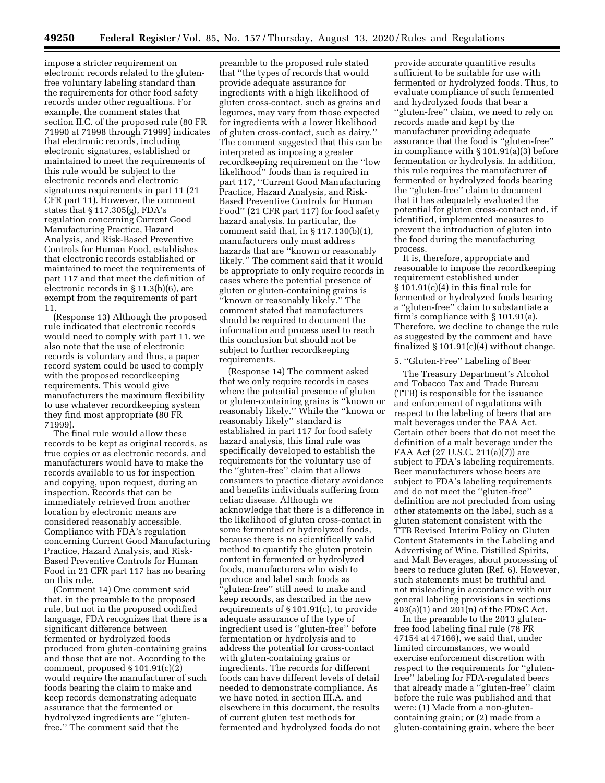impose a stricter requirement on electronic records related to the glutenfree voluntary labeling standard than the requirements for other food safety records under other regualtions. For example, the comment states that section II.C. of the proposed rule (80 FR 71990 at 71998 through 71999) indicates that electronic records, including electronic signatures, established or maintained to meet the requirements of this rule would be subject to the electronic records and electronic signatures requirements in part 11 (21 CFR part 11). However, the comment states that § 117.305(g), FDA's regulation concerning Current Good Manufacturing Practice, Hazard Analysis, and Risk-Based Preventive Controls for Human Food, establishes that electronic records established or maintained to meet the requirements of part 117 and that meet the definition of electronic records in § 11.3(b)(6), are exempt from the requirements of part 11.

(Response 13) Although the proposed rule indicated that electronic records would need to comply with part 11, we also note that the use of electronic records is voluntary and thus, a paper record system could be used to comply with the proposed recordkeeping requirements. This would give manufacturers the maximum flexibility to use whatever recordkeeping system they find most appropriate (80 FR 71999).

The final rule would allow these records to be kept as original records, as true copies or as electronic records, and manufacturers would have to make the records available to us for inspection and copying, upon request, during an inspection. Records that can be immediately retrieved from another location by electronic means are considered reasonably accessible. Compliance with FDA's regulation concerning Current Good Manufacturing Practice, Hazard Analysis, and Risk-Based Preventive Controls for Human Food in 21 CFR part 117 has no bearing on this rule.

(Comment 14) One comment said that, in the preamble to the proposed rule, but not in the proposed codified language, FDA recognizes that there is a significant difference between fermented or hydrolyzed foods produced from gluten-containing grains and those that are not. According to the comment, proposed § 101.91(c)(2) would require the manufacturer of such foods bearing the claim to make and keep records demonstrating adequate assurance that the fermented or hydrolyzed ingredients are ''glutenfree.'' The comment said that the

preamble to the proposed rule stated that ''the types of records that would provide adequate assurance for ingredients with a high likelihood of gluten cross-contact, such as grains and legumes, may vary from those expected for ingredients with a lower likelihood of gluten cross-contact, such as dairy.'' The comment suggested that this can be interpreted as imposing a greater recordkeeping requirement on the ''low likelihood'' foods than is required in part 117, ''Current Good Manufacturing Practice, Hazard Analysis, and Risk-Based Preventive Controls for Human Food'' (21 CFR part 117) for food safety hazard analysis. In particular, the comment said that, in § 117.130(b)(1), manufacturers only must address hazards that are ''known or reasonably likely.'' The comment said that it would be appropriate to only require records in cases where the potential presence of gluten or gluten-containing grains is ''known or reasonably likely.'' The comment stated that manufacturers should be required to document the information and process used to reach this conclusion but should not be subject to further recordkeeping requirements.

(Response 14) The comment asked that we only require records in cases where the potential presence of gluten or gluten-containing grains is ''known or reasonably likely.'' While the ''known or reasonably likely'' standard is established in part 117 for food safety hazard analysis, this final rule was specifically developed to establish the requirements for the voluntary use of the ''gluten-free'' claim that allows consumers to practice dietary avoidance and benefits individuals suffering from celiac disease. Although we acknowledge that there is a difference in the likelihood of gluten cross-contact in some fermented or hydrolyzed foods, because there is no scientifically valid method to quantify the gluten protein content in fermented or hydrolyzed foods, manufacturers who wish to produce and label such foods as ''gluten-free'' still need to make and keep records, as described in the new requirements of § 101.91(c), to provide adequate assurance of the type of ingredient used is ''gluten-free'' before fermentation or hydrolysis and to address the potential for cross-contact with gluten-containing grains or ingredients. The records for different foods can have different levels of detail needed to demonstrate compliance. As we have noted in section III.A. and elsewhere in this document, the results of current gluten test methods for fermented and hydrolyzed foods do not

provide accurate quantitive results sufficient to be suitable for use with fermented or hydrolyzed foods. Thus, to evaluate compliance of such fermented and hydrolyzed foods that bear a ''gluten-free'' claim, we need to rely on records made and kept by the manufacturer providing adequate assurance that the food is ''gluten-free'' in compliance with § 101.91(a)(3) before fermentation or hydrolysis. In addition, this rule requires the manufacturer of fermented or hydrolyzed foods bearing the ''gluten-free'' claim to document that it has adequately evaluated the potential for gluten cross-contact and, if identified, implemented measures to prevent the introduction of gluten into the food during the manufacturing process.

It is, therefore, appropriate and reasonable to impose the recordkeeping requirement established under  $§ 101.91(c)(4)$  in this final rule for fermented or hydrolyzed foods bearing a ''gluten-free'' claim to substantiate a firm's compliance with § 101.91(a). Therefore, we decline to change the rule as suggested by the comment and have finalized  $\S 101.91(c)(4)$  without change.

## 5. ''Gluten-Free'' Labeling of Beer

The Treasury Department's Alcohol and Tobacco Tax and Trade Bureau (TTB) is responsible for the issuance and enforcement of regulations with respect to the labeling of beers that are malt beverages under the FAA Act. Certain other beers that do not meet the definition of a malt beverage under the FAA Act (27 U.S.C. 211(a)(7)) are subject to FDA's labeling requirements. Beer manufacturers whose beers are subject to FDA's labeling requirements and do not meet the ''gluten-free'' definition are not precluded from using other statements on the label, such as a gluten statement consistent with the TTB Revised Interim Policy on Gluten Content Statements in the Labeling and Advertising of Wine, Distilled Spirits, and Malt Beverages, about processing of beers to reduce gluten (Ref. 6). However, such statements must be truthful and not misleading in accordance with our general labeling provisions in sections 403(a)(1) and 201(n) of the FD&C Act.

In the preamble to the 2013 glutenfree food labeling final rule (78 FR 47154 at 47166), we said that, under limited circumstances, we would exercise enforcement discretion with respect to the requirements for ''glutenfree'' labeling for FDA-regulated beers that already made a ''gluten-free'' claim before the rule was published and that were: (1) Made from a non-glutencontaining grain; or (2) made from a gluten-containing grain, where the beer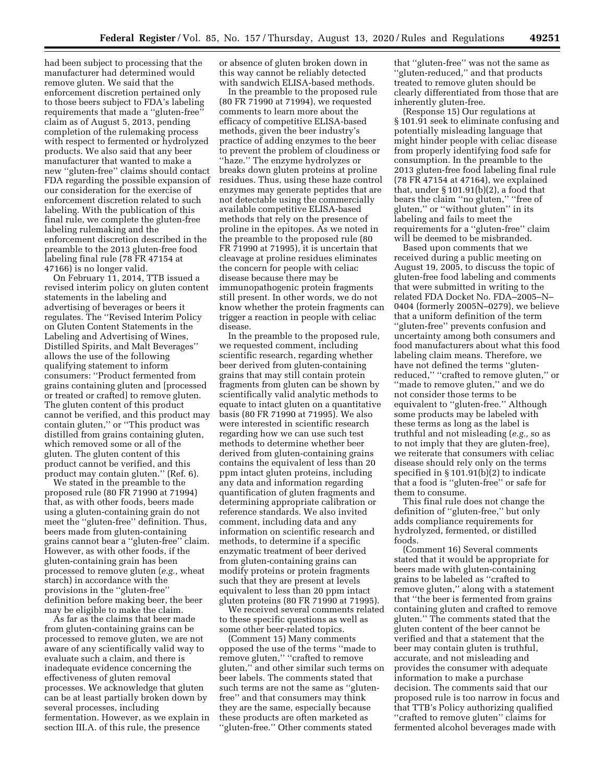had been subject to processing that the manufacturer had determined would remove gluten. We said that the enforcement discretion pertained only to those beers subject to FDA's labeling requirements that made a ''gluten-free'' claim as of August 5, 2013, pending completion of the rulemaking process with respect to fermented or hydrolyzed products. We also said that any beer manufacturer that wanted to make a new ''gluten-free'' claims should contact FDA regarding the possible expansion of our consideration for the exercise of enforcement discretion related to such labeling. With the publication of this final rule, we complete the gluten-free labeling rulemaking and the enforcement discretion described in the preamble to the 2013 gluten-free food labeling final rule (78 FR 47154 at 47166) is no longer valid.

On February 11, 2014, TTB issued a revised interim policy on gluten content statements in the labeling and advertising of beverages or beers it regulates. The ''Revised Interim Policy on Gluten Content Statements in the Labeling and Advertising of Wines, Distilled Spirits, and Malt Beverages'' allows the use of the following qualifying statement to inform consumers: ''Product fermented from grains containing gluten and [processed or treated or crafted] to remove gluten. The gluten content of this product cannot be verified, and this product may contain gluten,'' or ''This product was distilled from grains containing gluten, which removed some or all of the gluten. The gluten content of this product cannot be verified, and this product may contain gluten.'' (Ref. 6).

We stated in the preamble to the proposed rule (80 FR 71990 at 71994) that, as with other foods, beers made using a gluten-containing grain do not meet the ''gluten-free'' definition. Thus, beers made from gluten-containing grains cannot bear a ''gluten-free'' claim. However, as with other foods, if the gluten-containing grain has been processed to remove gluten (*e.g.,* wheat starch) in accordance with the provisions in the ''gluten-free'' definition before making beer, the beer may be eligible to make the claim.

As far as the claims that beer made from gluten-containing grains can be processed to remove gluten, we are not aware of any scientifically valid way to evaluate such a claim, and there is inadequate evidence concerning the effectiveness of gluten removal processes. We acknowledge that gluten can be at least partially broken down by several processes, including fermentation. However, as we explain in section III.A. of this rule, the presence

or absence of gluten broken down in this way cannot be reliably detected with sandwich ELISA-based methods.

In the preamble to the proposed rule (80 FR 71990 at 71994), we requested comments to learn more about the efficacy of competitive ELISA-based methods, given the beer industry's practice of adding enzymes to the beer to prevent the problem of cloudiness or ''haze.'' The enzyme hydrolyzes or breaks down gluten proteins at proline residues. Thus, using these haze control enzymes may generate peptides that are not detectable using the commercially available competitive ELISA-based methods that rely on the presence of proline in the epitopes. As we noted in the preamble to the proposed rule (80 FR  $71990$  at 71995), it is uncertain that cleavage at proline residues eliminates the concern for people with celiac disease because there may be immunopathogenic protein fragments still present. In other words, we do not know whether the protein fragments can trigger a reaction in people with celiac disease.

In the preamble to the proposed rule, we requested comment, including scientific research, regarding whether beer derived from gluten-containing grains that may still contain protein fragments from gluten can be shown by scientifically valid analytic methods to equate to intact gluten on a quantitative basis (80 FR 71990 at 71995). We also were interested in scientific research regarding how we can use such test methods to determine whether beer derived from gluten-containing grains contains the equivalent of less than 20 ppm intact gluten proteins, including any data and information regarding quantification of gluten fragments and determining appropriate calibration or reference standards. We also invited comment, including data and any information on scientific research and methods, to determine if a specific enzymatic treatment of beer derived from gluten-containing grains can modify proteins or protein fragments such that they are present at levels equivalent to less than 20 ppm intact gluten proteins (80 FR 71990 at 71995).

We received several comments related to these specific questions as well as some other beer-related topics.

(Comment 15) Many comments opposed the use of the terms ''made to remove gluten,'' ''crafted to remove gluten,'' and other similar such terms on beer labels. The comments stated that such terms are not the same as ''glutenfree'' and that consumers may think they are the same, especially because these products are often marketed as ''gluten-free.'' Other comments stated

that ''gluten-free'' was not the same as ''gluten-reduced,'' and that products treated to remove gluten should be clearly differentiated from those that are inherently gluten-free.

(Response 15) Our regulations at § 101.91 seek to eliminate confusing and potentially misleading language that might hinder people with celiac disease from properly identifying food safe for consumption. In the preamble to the 2013 gluten-free food labeling final rule (78 FR 47154 at 47164), we explained that, under  $\S 101.91(b)(2)$ , a food that bears the claim ''no gluten,'' ''free of gluten,'' or ''without gluten'' in its labeling and fails to meet the requirements for a ''gluten-free'' claim will be deemed to be misbranded.

Based upon comments that we received during a public meeting on August 19, 2005, to discuss the topic of gluten-free food labeling and comments that were submitted in writing to the related FDA Docket No. FDA–2005–N– 0404 (formerly 2005N–0279), we believe that a uniform definition of the term ''gluten-free'' prevents confusion and uncertainty among both consumers and food manufacturers about what this food labeling claim means. Therefore, we have not defined the terms ''glutenreduced,'' ''crafted to remove gluten,'' or "made to remove gluten," and we do not consider those terms to be equivalent to ''gluten-free.'' Although some products may be labeled with these terms as long as the label is truthful and not misleading (*e.g.,* so as to not imply that they are gluten-free), we reiterate that consumers with celiac disease should rely only on the terms specified in § 101.91(b)(2) to indicate that a food is ''gluten-free'' or safe for them to consume.

This final rule does not change the definition of ''gluten-free,'' but only adds compliance requirements for hydrolyzed, fermented, or distilled foods.

(Comment 16) Several comments stated that it would be appropriate for beers made with gluten-containing grains to be labeled as ''crafted to remove gluten,'' along with a statement that ''the beer is fermented from grains containing gluten and crafted to remove gluten.'' The comments stated that the gluten content of the beer cannot be verified and that a statement that the beer may contain gluten is truthful, accurate, and not misleading and provides the consumer with adequate information to make a purchase decision. The comments said that our proposed rule is too narrow in focus and that TTB's Policy authorizing qualified ''crafted to remove gluten'' claims for fermented alcohol beverages made with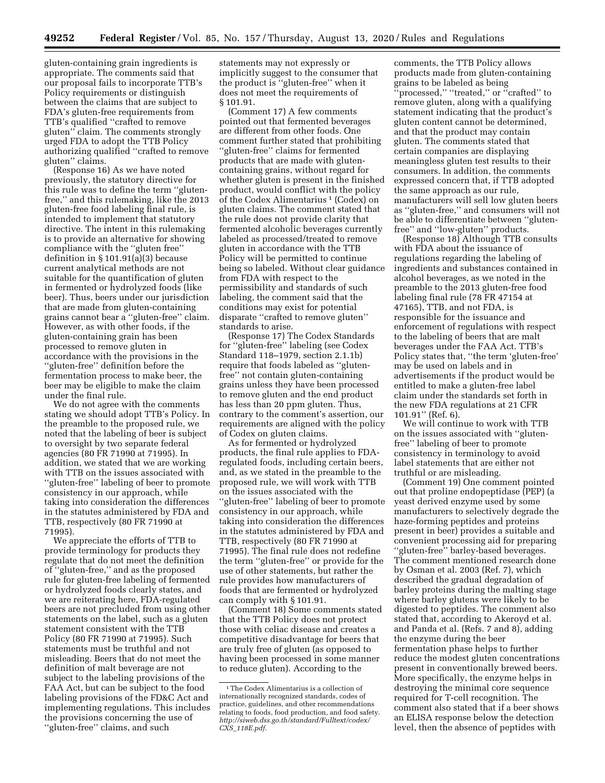gluten-containing grain ingredients is appropriate. The comments said that our proposal fails to incorporate TTB's Policy requirements or distinguish between the claims that are subject to FDA's gluten-free requirements from TTB's qualified ''crafted to remove gluten'' claim. The comments strongly urged FDA to adopt the TTB Policy authorizing qualified ''crafted to remove gluten'' claims.

(Response 16) As we have noted previously, the statutory directive for this rule was to define the term ''glutenfree,'' and this rulemaking, like the 2013 gluten-free food labeling final rule, is intended to implement that statutory directive. The intent in this rulemaking is to provide an alternative for showing compliance with the ''gluten free'' definition in § 101.91(a)(3) because current analytical methods are not suitable for the quantification of gluten in fermented or hydrolyzed foods (like beer). Thus, beers under our jurisdiction that are made from gluten-containing grains cannot bear a ''gluten-free'' claim. However, as with other foods, if the gluten-containing grain has been processed to remove gluten in accordance with the provisions in the ''gluten-free'' definition before the fermentation process to make beer, the beer may be eligible to make the claim under the final rule.

We do not agree with the comments stating we should adopt TTB's Policy. In the preamble to the proposed rule, we noted that the labeling of beer is subject to oversight by two separate federal agencies (80 FR 71990 at 71995). In addition, we stated that we are working with TTB on the issues associated with ''gluten-free'' labeling of beer to promote consistency in our approach, while taking into consideration the differences in the statutes administered by FDA and TTB, respectively (80 FR 71990 at 71995).

We appreciate the efforts of TTB to provide terminology for products they regulate that do not meet the definition of ''gluten-free,'' and as the proposed rule for gluten-free labeling of fermented or hydrolyzed foods clearly states, and we are reiterating here, FDA-regulated beers are not precluded from using other statements on the label, such as a gluten statement consistent with the TTB Policy (80 FR 71990 at 71995). Such statements must be truthful and not misleading. Beers that do not meet the definition of malt beverage are not subject to the labeling provisions of the FAA Act, but can be subject to the food labeling provisions of the FD&C Act and implementing regulations. This includes the provisions concerning the use of ''gluten-free'' claims, and such

statements may not expressly or implicitly suggest to the consumer that the product is ''gluten-free'' when it does not meet the requirements of § 101.91.

(Comment 17) A few comments pointed out that fermented beverages are different from other foods. One comment further stated that prohibiting ''gluten-free'' claims for fermented products that are made with glutencontaining grains, without regard for whether gluten is present in the finished product, would conflict with the policy of the Codex Alimentarius 1 (Codex) on gluten claims. The comment stated that the rule does not provide clarity that fermented alcoholic beverages currently labeled as processed/treated to remove gluten in accordance with the TTB Policy will be permitted to continue being so labeled. Without clear guidance from FDA with respect to the permissibility and standards of such labeling, the comment said that the conditions may exist for potential disparate ''crafted to remove gluten'' standards to arise.

(Response 17) The Codex Standards for ''gluten-free'' labeling (see Codex Standard 118–1979, section 2.1.1b) require that foods labeled as ''glutenfree'' not contain gluten-containing grains unless they have been processed to remove gluten and the end product has less than 20 ppm gluten. Thus, contrary to the comment's assertion, our requirements are aligned with the policy of Codex on gluten claims.

As for fermented or hydrolyzed products, the final rule applies to FDAregulated foods, including certain beers, and, as we stated in the preamble to the proposed rule, we will work with TTB on the issues associated with the ''gluten-free'' labeling of beer to promote consistency in our approach, while taking into consideration the differences in the statutes administered by FDA and TTB, respectively (80 FR 71990 at 71995). The final rule does not redefine the term ''gluten-free'' or provide for the use of other statements, but rather the rule provides how manufacturers of foods that are fermented or hydrolyzed can comply with § 101.91.

(Comment 18) Some comments stated that the TTB Policy does not protect those with celiac disease and creates a competitive disadvantage for beers that are truly free of gluten (as opposed to having been processed in some manner to reduce gluten). According to the

comments, the TTB Policy allows products made from gluten-containing grains to be labeled as being ''processed,'' ''treated,'' or ''crafted'' to remove gluten, along with a qualifying statement indicating that the product's gluten content cannot be determined, and that the product may contain gluten. The comments stated that certain companies are displaying meaningless gluten test results to their consumers. In addition, the comments expressed concern that, if TTB adopted the same approach as our rule, manufacturers will sell low gluten beers as ''gluten-free,'' and consumers will not be able to differentiate between ''glutenfree'' and ''low-gluten'' products.

(Response 18) Although TTB consults with FDA about the issuance of regulations regarding the labeling of ingredients and substances contained in alcohol beverages, as we noted in the preamble to the 2013 gluten-free food labeling final rule (78 FR 47154 at 47165), TTB, and not FDA, is responsible for the issuance and enforcement of regulations with respect to the labeling of beers that are malt beverages under the FAA Act. TTB's Policy states that, ''the term 'gluten-free' may be used on labels and in advertisements if the product would be entitled to make a gluten-free label claim under the standards set forth in the new FDA regulations at 21 CFR 101.91'' (Ref. 6).

We will continue to work with TTB on the issues associated with ''glutenfree'' labeling of beer to promote consistency in terminology to avoid label statements that are either not truthful or are misleading.

(Comment 19) One comment pointed out that proline endopeptidase (PEP) (a yeast derived enzyme used by some manufacturers to selectively degrade the haze-forming peptides and proteins present in beer) provides a suitable and convenient processing aid for preparing ''gluten-free'' barley-based beverages. The comment mentioned research done by Osman et al. 2003 (Ref. 7), which described the gradual degradation of barley proteins during the malting stage where barley glutens were likely to be digested to peptides. The comment also stated that, according to Akeroyd et al. and Panda et al. (Refs. 7 and 8), adding the enzyme during the beer fermentation phase helps to further reduce the modest gluten concentrations present in conventionally brewed beers. More specifically, the enzyme helps in destroying the minimal core sequence required for T-cell recognition. The comment also stated that if a beer shows an ELISA response below the detection level, then the absence of peptides with

<sup>&</sup>lt;sup>1</sup>The Codex Alimentarius is a collection of internationally recognized standards, codes of practice, guidelines, and other recommendations relating to foods, food production, and food safety. *[http://siweb.dss.go.th/standard/Fulltext/codex/](http://siweb.dss.go.th/standard/Fulltext/codex/CXS_118E.pdf)  CXS*\_*[118E.pdf.](http://siweb.dss.go.th/standard/Fulltext/codex/CXS_118E.pdf)*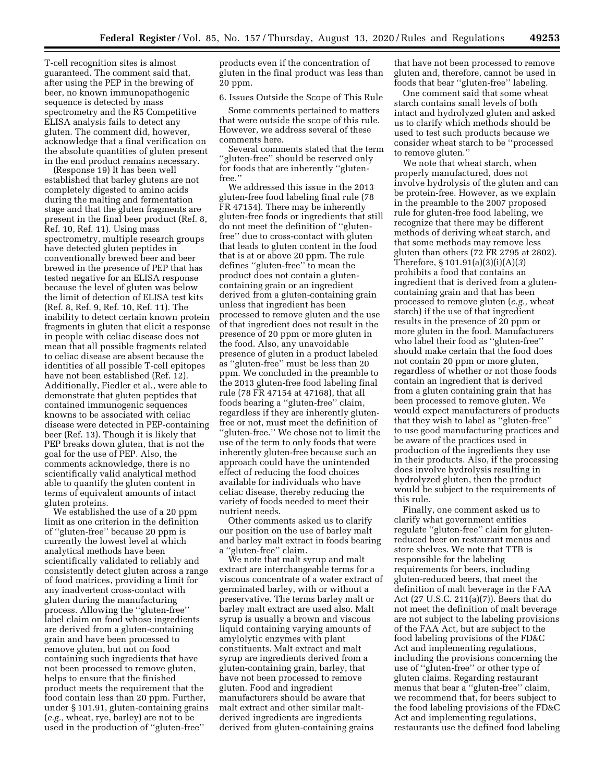T-cell recognition sites is almost guaranteed. The comment said that, after using the PEP in the brewing of beer, no known immunopathogenic sequence is detected by mass spectrometry and the R5 Competitive ELISA analysis fails to detect any gluten. The comment did, however, acknowledge that a final verification on the absolute quantities of gluten present in the end product remains necessary.

(Response 19) It has been well established that barley glutens are not completely digested to amino acids during the malting and fermentation stage and that the gluten fragments are present in the final beer product (Ref. 8, Ref. 10, Ref. 11). Using mass spectrometry, multiple research groups have detected gluten peptides in conventionally brewed beer and beer brewed in the presence of PEP that has tested negative for an ELISA response because the level of gluten was below the limit of detection of ELISA test kits (Ref. 8, Ref. 9, Ref. 10, Ref. 11). The inability to detect certain known protein fragments in gluten that elicit a response in people with celiac disease does not mean that all possible fragments related to celiac disease are absent because the identities of all possible T-cell epitopes have not been established (Ref. 12). Additionally, Fiedler et al., were able to demonstrate that gluten peptides that contained immunogenic sequences knowns to be associated with celiac disease were detected in PEP-containing beer (Ref. 13). Though it is likely that PEP breaks down gluten, that is not the goal for the use of PEP. Also, the comments acknowledge, there is no scientifically valid analytical method able to quantify the gluten content in terms of equivalent amounts of intact gluten proteins.

We established the use of a 20 ppm limit as one criterion in the definition of ''gluten-free'' because 20 ppm is currently the lowest level at which analytical methods have been scientifically validated to reliably and consistently detect gluten across a range of food matrices, providing a limit for any inadvertent cross-contact with gluten during the manufacturing process. Allowing the ''gluten-free'' label claim on food whose ingredients are derived from a gluten-containing grain and have been processed to remove gluten, but not on food containing such ingredients that have not been processed to remove gluten, helps to ensure that the finished product meets the requirement that the food contain less than 20 ppm. Further, under § 101.91, gluten-containing grains (*e.g.,* wheat, rye, barley) are not to be used in the production of ''gluten-free''

products even if the concentration of gluten in the final product was less than 20 ppm.

6. Issues Outside the Scope of This Rule

Some comments pertained to matters that were outside the scope of this rule. However, we address several of these comments here.

Several comments stated that the term ''gluten-free'' should be reserved only for foods that are inherently ''glutenfree.''

We addressed this issue in the 2013 gluten-free food labeling final rule (78 FR 47154). There may be inherently gluten-free foods or ingredients that still do not meet the definition of ''glutenfree'' due to cross-contact with gluten that leads to gluten content in the food that is at or above 20 ppm. The rule defines ''gluten-free'' to mean the product does not contain a glutencontaining grain or an ingredient derived from a gluten-containing grain unless that ingredient has been processed to remove gluten and the use of that ingredient does not result in the presence of 20 ppm or more gluten in the food. Also, any unavoidable presence of gluten in a product labeled as ''gluten-free'' must be less than 20 ppm. We concluded in the preamble to the 2013 gluten-free food labeling final rule (78 FR 47154 at 47168), that all foods bearing a ''gluten-free'' claim, regardless if they are inherently glutenfree or not, must meet the definition of "gluten-free." We chose not to limit the use of the term to only foods that were inherently gluten-free because such an approach could have the unintended effect of reducing the food choices available for individuals who have celiac disease, thereby reducing the variety of foods needed to meet their nutrient needs.

Other comments asked us to clarify our position on the use of barley malt and barley malt extract in foods bearing a ''gluten-free'' claim.

We note that malt syrup and malt extract are interchangeable terms for a viscous concentrate of a water extract of germinated barley, with or without a preservative. The terms barley malt or barley malt extract are used also. Malt syrup is usually a brown and viscous liquid containing varying amounts of amylolytic enzymes with plant constituents. Malt extract and malt syrup are ingredients derived from a gluten-containing grain, barley, that have not been processed to remove gluten. Food and ingredient manufacturers should be aware that malt extract and other similar maltderived ingredients are ingredients derived from gluten-containing grains

that have not been processed to remove gluten and, therefore, cannot be used in foods that bear ''gluten-free'' labeling.

One comment said that some wheat starch contains small levels of both intact and hydrolyzed gluten and asked us to clarify which methods should be used to test such products because we consider wheat starch to be ''processed to remove gluten.''

We note that wheat starch, when properly manufactured, does not involve hydrolysis of the gluten and can be protein-free. However, as we explain in the preamble to the 2007 proposed rule for gluten-free food labeling, we recognize that there may be different methods of deriving wheat starch, and that some methods may remove less gluten than others (72 FR 2795 at 2802). Therefore, § 101.91(a)(3)(i)(A)(*3*) prohibits a food that contains an ingredient that is derived from a glutencontaining grain and that has been processed to remove gluten (*e.g.,* wheat starch) if the use of that ingredient results in the presence of 20 ppm or more gluten in the food. Manufacturers who label their food as ''gluten-free'' should make certain that the food does not contain 20 ppm or more gluten, regardless of whether or not those foods contain an ingredient that is derived from a gluten containing grain that has been processed to remove gluten. We would expect manufacturers of products that they wish to label as ''gluten-free'' to use good manufacturing practices and be aware of the practices used in production of the ingredients they use in their products. Also, if the processing does involve hydrolysis resulting in hydrolyzed gluten, then the product would be subject to the requirements of this rule.

Finally, one comment asked us to clarify what government entities regulate ''gluten-free'' claim for glutenreduced beer on restaurant menus and store shelves. We note that TTB is responsible for the labeling requirements for beers, including gluten-reduced beers, that meet the definition of malt beverage in the FAA Act (27 U.S.C. 211(a)(7)). Beers that do not meet the definition of malt beverage are not subject to the labeling provisions of the FAA Act, but are subject to the food labeling provisions of the FD&C Act and implementing regulations, including the provisions concerning the use of ''gluten-free'' or other type of gluten claims. Regarding restaurant menus that bear a ''gluten-free'' claim, we recommend that, for beers subject to the food labeling provisions of the FD&C Act and implementing regulations, restaurants use the defined food labeling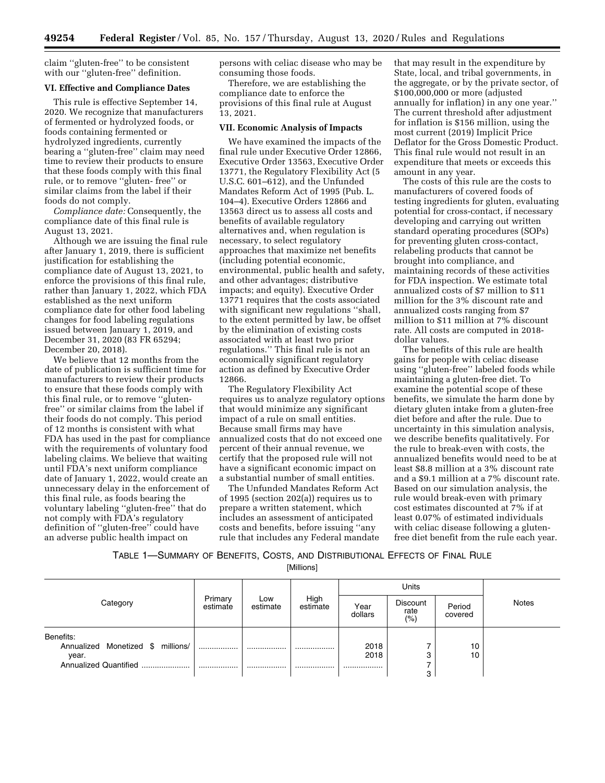claim ''gluten-free'' to be consistent with our ''gluten-free'' definition.

#### **VI. Effective and Compliance Dates**

This rule is effective September 14, 2020. We recognize that manufacturers of fermented or hydrolyzed foods, or foods containing fermented or hydrolyzed ingredients, currently bearing a ''gluten-free'' claim may need time to review their products to ensure that these foods comply with this final rule, or to remove ''gluten- free'' or similar claims from the label if their foods do not comply.

*Compliance date:* Consequently, the compliance date of this final rule is August 13, 2021.

Although we are issuing the final rule after January 1, 2019, there is sufficient justification for establishing the compliance date of August 13, 2021, to enforce the provisions of this final rule, rather than January 1, 2022, which FDA established as the next uniform compliance date for other food labeling changes for food labeling regulations issued between January 1, 2019, and December 31, 2020 (83 FR 65294; December 20, 2018).

We believe that 12 months from the date of publication is sufficient time for manufacturers to review their products to ensure that these foods comply with this final rule, or to remove ''glutenfree'' or similar claims from the label if their foods do not comply. This period of 12 months is consistent with what FDA has used in the past for compliance with the requirements of voluntary food labeling claims. We believe that waiting until FDA's next uniform compliance date of January 1, 2022, would create an unnecessary delay in the enforcement of this final rule, as foods bearing the voluntary labeling ''gluten-free'' that do not comply with FDA's regulatory definition of ''gluten-free'' could have an adverse public health impact on

persons with celiac disease who may be consuming those foods.

Therefore, we are establishing the compliance date to enforce the provisions of this final rule at August 13, 2021.

#### **VII. Economic Analysis of Impacts**

We have examined the impacts of the final rule under Executive Order 12866, Executive Order 13563, Executive Order 13771, the Regulatory Flexibility Act (5 U.S.C. 601–612), and the Unfunded Mandates Reform Act of 1995 (Pub. L. 104–4). Executive Orders 12866 and 13563 direct us to assess all costs and benefits of available regulatory alternatives and, when regulation is necessary, to select regulatory approaches that maximize net benefits (including potential economic, environmental, public health and safety, and other advantages; distributive impacts; and equity). Executive Order 13771 requires that the costs associated with significant new regulations ''shall, to the extent permitted by law, be offset by the elimination of existing costs associated with at least two prior regulations.'' This final rule is not an economically significant regulatory action as defined by Executive Order 12866.

The Regulatory Flexibility Act requires us to analyze regulatory options that would minimize any significant impact of a rule on small entities. Because small firms may have annualized costs that do not exceed one percent of their annual revenue, we certify that the proposed rule will not have a significant economic impact on a substantial number of small entities.

The Unfunded Mandates Reform Act of 1995 (section 202(a)) requires us to prepare a written statement, which includes an assessment of anticipated costs and benefits, before issuing ''any rule that includes any Federal mandate that may result in the expenditure by State, local, and tribal governments, in the aggregate, or by the private sector, of \$100,000,000 or more (adjusted annually for inflation) in any one year.'' The current threshold after adjustment for inflation is \$156 million, using the most current (2019) Implicit Price Deflator for the Gross Domestic Product. This final rule would not result in an expenditure that meets or exceeds this amount in any year.

The costs of this rule are the costs to manufacturers of covered foods of testing ingredients for gluten, evaluating potential for cross-contact, if necessary developing and carrying out written standard operating procedures (SOPs) for preventing gluten cross-contact, relabeling products that cannot be brought into compliance, and maintaining records of these activities for FDA inspection. We estimate total annualized costs of \$7 million to \$11 million for the 3% discount rate and annualized costs ranging from \$7 million to \$11 million at 7% discount rate. All costs are computed in 2018 dollar values.

The benefits of this rule are health gains for people with celiac disease using ''gluten-free'' labeled foods while maintaining a gluten-free diet. To examine the potential scope of these benefits, we simulate the harm done by dietary gluten intake from a gluten-free diet before and after the rule. Due to uncertainty in this simulation analysis, we describe benefits qualitatively. For the rule to break-even with costs, the annualized benefits would need to be at least \$8.8 million at a 3% discount rate and a \$9.1 million at a 7% discount rate. Based on our simulation analysis, the rule would break-even with primary cost estimates discounted at 7% if at least 0.07% of estimated individuals with celiac disease following a glutenfree diet benefit from the rule each year.

TABLE 1—SUMMARY OF BENEFITS, COSTS, AND DISTRIBUTIONAL EFFECTS OF FINAL RULE [Millions]

|                                   |                     |                 |                  |                 | Units                  |                   |              |
|-----------------------------------|---------------------|-----------------|------------------|-----------------|------------------------|-------------------|--------------|
| Category                          | Primary<br>estimate | Low<br>estimate | High<br>estimate | Year<br>dollars | Discount<br>rate<br>(% | Period<br>covered | <b>Notes</b> |
| Benefits:                         |                     |                 |                  |                 |                        |                   |              |
| Annualized Monetized \$ millions/ |                     |                 |                  | 2018            |                        | 10                |              |
| year.                             |                     |                 |                  | 2018            | 3                      | 10                |              |
| Annualized Quantified             |                     |                 |                  |                 |                        |                   |              |
|                                   |                     |                 |                  |                 | 3                      |                   |              |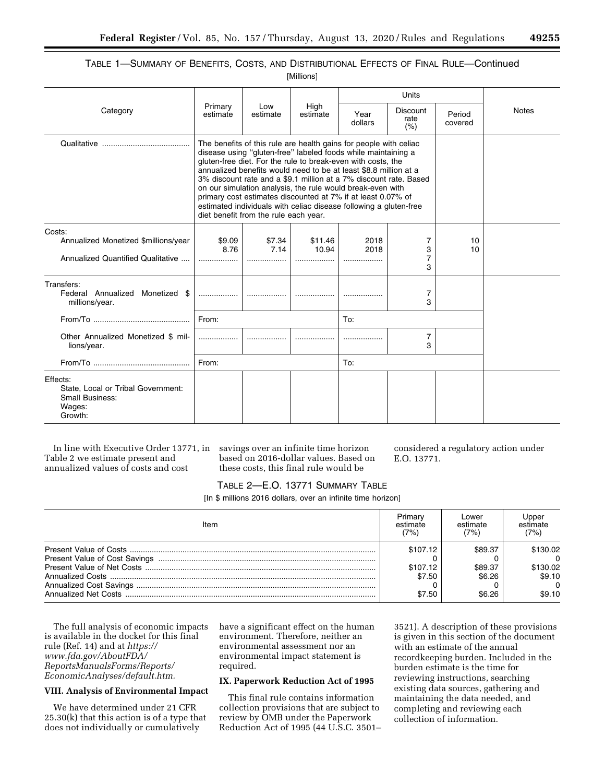# TABLE 1—SUMMARY OF BENEFITS, COSTS, AND DISTRIBUTIONAL EFFECTS OF FINAL RULE—Continued

[Millions]

|                                                                                               |                                                                                                                                                                                                                                                                                                                                                                                                                                                                                                                                                                                         |                    |                      |                   | Units                           |                   |              |
|-----------------------------------------------------------------------------------------------|-----------------------------------------------------------------------------------------------------------------------------------------------------------------------------------------------------------------------------------------------------------------------------------------------------------------------------------------------------------------------------------------------------------------------------------------------------------------------------------------------------------------------------------------------------------------------------------------|--------------------|----------------------|-------------------|---------------------------------|-------------------|--------------|
| Category                                                                                      | Primary<br>estimate                                                                                                                                                                                                                                                                                                                                                                                                                                                                                                                                                                     | Low<br>estimate    | High<br>estimate     | Year<br>dollars   | <b>Discount</b><br>rate<br>(% ) | Period<br>covered | <b>Notes</b> |
|                                                                                               | The benefits of this rule are health gains for people with celiac<br>disease using "gluten-free" labeled foods while maintaining a<br>gluten-free diet. For the rule to break-even with costs, the<br>annualized benefits would need to be at least \$8.8 million at a<br>3% discount rate and a \$9.1 million at a 7% discount rate. Based<br>on our simulation analysis, the rule would break-even with<br>primary cost estimates discounted at 7% if at least 0.07% of<br>estimated individuals with celiac disease following a gluten-free<br>diet benefit from the rule each year. |                    |                      |                   |                                 |                   |              |
| Costs:<br>Annualized Monetized \$millions/year<br>Annualized Quantified Qualitative           | \$9.09<br>8.76<br>                                                                                                                                                                                                                                                                                                                                                                                                                                                                                                                                                                      | \$7.34<br>7.14<br> | \$11.46<br>10.94<br> | 2018<br>2018<br>. | 7<br>3<br>7<br>3                | 10<br>10          |              |
| Transfers:<br>Federal Annualized Monetized<br>\$.<br>millions/year.                           | .                                                                                                                                                                                                                                                                                                                                                                                                                                                                                                                                                                                       |                    |                      |                   | 7<br>3                          |                   |              |
|                                                                                               | From:                                                                                                                                                                                                                                                                                                                                                                                                                                                                                                                                                                                   |                    |                      | To:               |                                 |                   |              |
| Other Annualized Monetized \$ mil-<br>lions/year.                                             | .                                                                                                                                                                                                                                                                                                                                                                                                                                                                                                                                                                                       |                    |                      |                   | 7<br>3                          |                   |              |
|                                                                                               | From:                                                                                                                                                                                                                                                                                                                                                                                                                                                                                                                                                                                   |                    |                      | To:               |                                 |                   |              |
| Effects:<br>State. Local or Tribal Government:<br><b>Small Business:</b><br>Wages:<br>Growth: |                                                                                                                                                                                                                                                                                                                                                                                                                                                                                                                                                                                         |                    |                      |                   |                                 |                   |              |

In line with Executive Order 13771, in Table 2 we estimate present and annualized values of costs and cost

savings over an infinite time horizon based on 2016-dollar values. Based on these costs, this final rule would be

considered a regulatory action under E.O. 13771.

## TABLE 2—E.O. 13771 SUMMARY TABLE

[In \$ millions 2016 dollars, over an infinite time horizon]

| Item | Primary<br>estimate<br>(7%) | Lower<br>estimate<br>(7%) | Jppeı<br>estimate<br>(7%) |
|------|-----------------------------|---------------------------|---------------------------|
|      | \$107.12                    | \$89.37                   | \$130.02                  |
|      |                             |                           | $\overline{a}$            |
|      | \$107.12                    | \$89.37                   | \$130.02                  |
|      | \$7.50                      | \$6.26                    | \$9.10                    |
|      |                             |                           | $\Omega$                  |
|      | \$7.50                      | \$6.26                    | \$9.10                    |

The full analysis of economic impacts is available in the docket for this final rule (Ref. 14) and at *[https://](https://www.fda.gov/AboutFDA/ReportsManualsForms/Reports/EconomicAnalyses/default.htm) [www.fda.gov/AboutFDA/](https://www.fda.gov/AboutFDA/ReportsManualsForms/Reports/EconomicAnalyses/default.htm) [ReportsManualsForms/Reports/](https://www.fda.gov/AboutFDA/ReportsManualsForms/Reports/EconomicAnalyses/default.htm)  [EconomicAnalyses/default.htm.](https://www.fda.gov/AboutFDA/ReportsManualsForms/Reports/EconomicAnalyses/default.htm)* 

## **VIII. Analysis of Environmental Impact**

We have determined under 21 CFR 25.30(k) that this action is of a type that does not individually or cumulatively

have a significant effect on the human environment. Therefore, neither an environmental assessment nor an environmental impact statement is required.

## **IX. Paperwork Reduction Act of 1995**

This final rule contains information collection provisions that are subject to review by OMB under the Paperwork Reduction Act of 1995 (44 U.S.C. 3501–

3521). A description of these provisions is given in this section of the document with an estimate of the annual recordkeeping burden. Included in the burden estimate is the time for reviewing instructions, searching existing data sources, gathering and maintaining the data needed, and completing and reviewing each collection of information.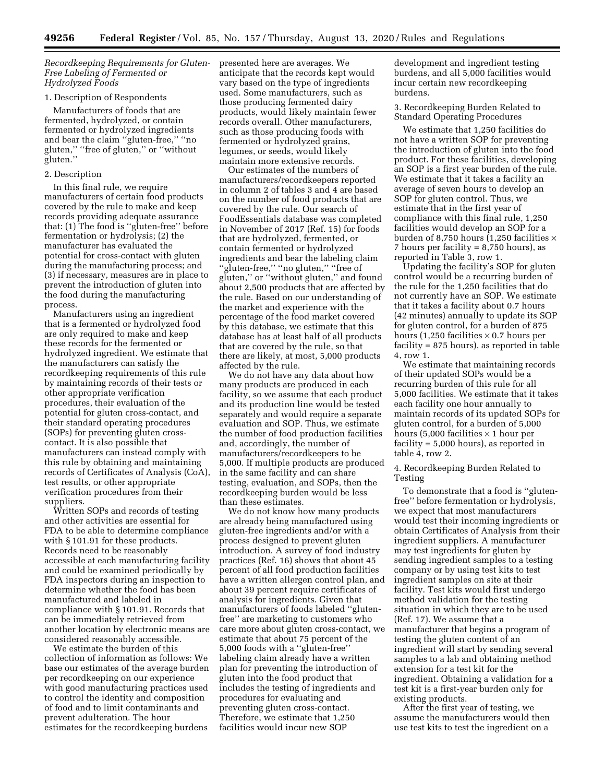*Recordkeeping Requirements for Gluten-Free Labeling of Fermented or Hydrolyzed Foods* 

#### 1. Description of Respondents

Manufacturers of foods that are fermented, hydrolyzed, or contain fermented or hydrolyzed ingredients and bear the claim ''gluten-free,'' ''no gluten," "free of gluten," or "without gluten.''

## 2. Description

In this final rule, we require manufacturers of certain food products covered by the rule to make and keep records providing adequate assurance that: (1) The food is ''gluten-free'' before fermentation or hydrolysis; (2) the manufacturer has evaluated the potential for cross-contact with gluten during the manufacturing process; and (3) if necessary, measures are in place to prevent the introduction of gluten into the food during the manufacturing process.

Manufacturers using an ingredient that is a fermented or hydrolyzed food are only required to make and keep these records for the fermented or hydrolyzed ingredient. We estimate that the manufacturers can satisfy the recordkeeping requirements of this rule by maintaining records of their tests or other appropriate verification procedures, their evaluation of the potential for gluten cross-contact, and their standard operating procedures (SOPs) for preventing gluten crosscontact. It is also possible that manufacturers can instead comply with this rule by obtaining and maintaining records of Certificates of Analysis (CoA), test results, or other appropriate verification procedures from their suppliers.

Written SOPs and records of testing and other activities are essential for FDA to be able to determine compliance with §101.91 for these products. Records need to be reasonably accessible at each manufacturing facility and could be examined periodically by FDA inspectors during an inspection to determine whether the food has been manufactured and labeled in compliance with § 101.91. Records that can be immediately retrieved from another location by electronic means are considered reasonably accessible.

We estimate the burden of this collection of information as follows: We base our estimates of the average burden per recordkeeping on our experience with good manufacturing practices used to control the identity and composition of food and to limit contaminants and prevent adulteration. The hour estimates for the recordkeeping burdens

presented here are averages. We anticipate that the records kept would vary based on the type of ingredients used. Some manufacturers, such as those producing fermented dairy products, would likely maintain fewer records overall. Other manufacturers, such as those producing foods with fermented or hydrolyzed grains, legumes, or seeds, would likely maintain more extensive records.

Our estimates of the numbers of manufacturers/recordkeepers reported in column 2 of tables 3 and 4 are based on the number of food products that are covered by the rule. Our search of FoodEssentials database was completed in November of 2017 (Ref. 15) for foods that are hydrolyzed, fermented, or contain fermented or hydrolyzed ingredients and bear the labeling claim ''gluten-free,'' ''no gluten,'' ''free of gluten,'' or ''without gluten,'' and found about 2,500 products that are affected by the rule. Based on our understanding of the market and experience with the percentage of the food market covered by this database, we estimate that this database has at least half of all products that are covered by the rule, so that there are likely, at most, 5,000 products affected by the rule.

We do not have any data about how many products are produced in each facility, so we assume that each product and its production line would be tested separately and would require a separate evaluation and SOP. Thus, we estimate the number of food production facilities and, accordingly, the number of manufacturers/recordkeepers to be 5,000. If multiple products are produced in the same facility and can share testing, evaluation, and SOPs, then the recordkeeping burden would be less than these estimates.

We do not know how many products are already being manufactured using gluten-free ingredients and/or with a process designed to prevent gluten introduction. A survey of food industry practices (Ref. 16) shows that about 45 percent of all food production facilities have a written allergen control plan, and about 39 percent require certificates of analysis for ingredients. Given that manufacturers of foods labeled ''glutenfree'' are marketing to customers who care more about gluten cross-contact, we estimate that about 75 percent of the 5,000 foods with a ''gluten-free'' labeling claim already have a written plan for preventing the introduction of gluten into the food product that includes the testing of ingredients and procedures for evaluating and preventing gluten cross-contact. Therefore, we estimate that 1,250 facilities would incur new SOP

development and ingredient testing burdens, and all 5,000 facilities would incur certain new recordkeeping burdens.

3. Recordkeeping Burden Related to Standard Operating Procedures

We estimate that 1,250 facilities do not have a written SOP for preventing the introduction of gluten into the food product. For these facilities, developing an SOP is a first year burden of the rule. We estimate that it takes a facility an average of seven hours to develop an SOP for gluten control. Thus, we estimate that in the first year of compliance with this final rule, 1,250 facilities would develop an SOP for a burden of 8,750 hours  $(1,250$  facilities  $\times$ 7 hours per facility = 8,750 hours), as reported in Table 3, row 1.

Updating the facility's SOP for gluten control would be a recurring burden of the rule for the 1,250 facilities that do not currently have an SOP. We estimate that it takes a facility about 0.7 hours (42 minutes) annually to update its SOP for gluten control, for a burden of 875 hours (1,250 facilities  $\times$  0.7 hours per facility = 875 hours), as reported in table 4, row 1.

We estimate that maintaining records of their updated SOPs would be a recurring burden of this rule for all 5,000 facilities. We estimate that it takes each facility one hour annually to maintain records of its updated SOPs for gluten control, for a burden of 5,000 hours (5,000 facilities  $\times$  1 hour per facility = 5,000 hours), as reported in table 4, row 2.

4. Recordkeeping Burden Related to Testing

To demonstrate that a food is ''glutenfree'' before fermentation or hydrolysis, we expect that most manufacturers would test their incoming ingredients or obtain Certificates of Analysis from their ingredient suppliers. A manufacturer may test ingredients for gluten by sending ingredient samples to a testing company or by using test kits to test ingredient samples on site at their facility. Test kits would first undergo method validation for the testing situation in which they are to be used (Ref. 17). We assume that a manufacturer that begins a program of testing the gluten content of an ingredient will start by sending several samples to a lab and obtaining method extension for a test kit for the ingredient. Obtaining a validation for a test kit is a first-year burden only for existing products.

After the first year of testing, we assume the manufacturers would then use test kits to test the ingredient on a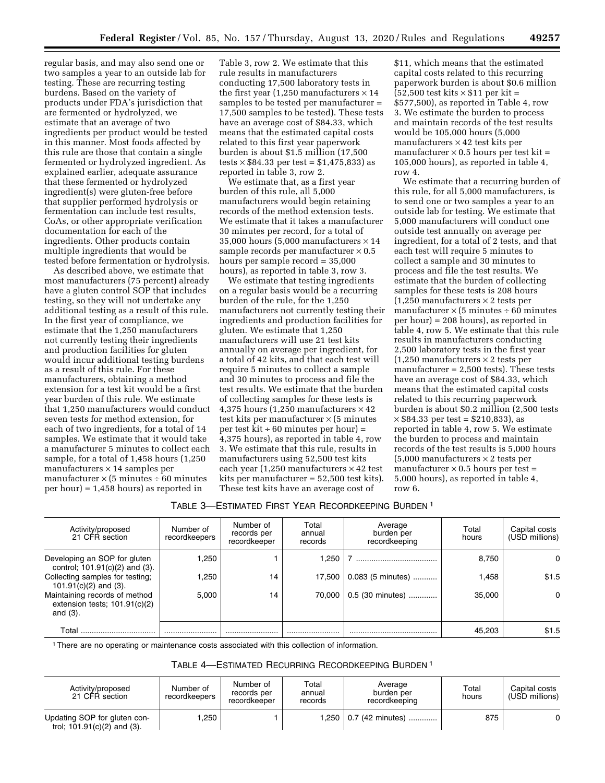regular basis, and may also send one or two samples a year to an outside lab for testing. These are recurring testing burdens. Based on the variety of products under FDA's jurisdiction that are fermented or hydrolyzed, we estimate that an average of two ingredients per product would be tested in this manner. Most foods affected by this rule are those that contain a single fermented or hydrolyzed ingredient. As explained earlier, adequate assurance that these fermented or hydrolyzed ingredient(s) were gluten-free before that supplier performed hydrolysis or fermentation can include test results, CoAs, or other appropriate verification documentation for each of the ingredients. Other products contain multiple ingredients that would be tested before fermentation or hydrolysis.

As described above, we estimate that most manufacturers (75 percent) already have a gluten control SOP that includes testing, so they will not undertake any additional testing as a result of this rule. In the first year of compliance, we estimate that the 1,250 manufacturers not currently testing their ingredients and production facilities for gluten would incur additional testing burdens as a result of this rule. For these manufacturers, obtaining a method extension for a test kit would be a first year burden of this rule. We estimate that 1,250 manufacturers would conduct seven tests for method extension, for each of two ingredients, for a total of 14 samples. We estimate that it would take a manufacturer 5 minutes to collect each sample, for a total of 1,458 hours (1,250 manufacturers  $\times$  14 samples per manufacturer  $\times$  (5 minutes ÷ 60 minutes per hour) = 1,458 hours) as reported in

Table 3, row 2. We estimate that this rule results in manufacturers conducting 17,500 laboratory tests in the first year (1,250 manufacturers  $\times$  14 samples to be tested per manufacturer = 17,500 samples to be tested). These tests have an average cost of \$84.33, which means that the estimated capital costs related to this first year paperwork burden is about \$1.5 million (17,500  $tests \times $84.33$  per test = \$1,475,833) as reported in table 3, row 2.

We estimate that, as a first year burden of this rule, all 5,000 manufacturers would begin retaining records of the method extension tests. We estimate that it takes a manufacturer 30 minutes per record, for a total of 35,000 hours (5,000 manufacturers  $\times\, 14$ sample records per manufacturer  $\times$  0.5 hours per sample record = 35,000 hours), as reported in table 3, row 3.

We estimate that testing ingredients on a regular basis would be a recurring burden of the rule, for the 1,250 manufacturers not currently testing their ingredients and production facilities for gluten. We estimate that 1,250 manufacturers will use 21 test kits annually on average per ingredient, for a total of 42 kits, and that each test will require 5 minutes to collect a sample and 30 minutes to process and file the test results. We estimate that the burden of collecting samples for these tests is 4,375 hours (1,250 manufacturers  $\times$  42 test kits per manufacturer  $\times$  (5 minutes per test  $\dot{kt}$  ÷ 60 minutes per hour) = 4,375 hours), as reported in table 4, row 3. We estimate that this rule, results in manufacturers using 52,500 test kits each year (1,250 manufacturers  $\times$  42 test kits per manufacturer = 52,500 test kits). These test kits have an average cost of

\$11, which means that the estimated capital costs related to this recurring paperwork burden is about \$0.6 million  $(52,500 \text{ test bits} \times $11 \text{ per kit} =$ \$577,500), as reported in Table 4, row 3. We estimate the burden to process and maintain records of the test results would be 105,000 hours (5,000 manufacturers  $\times$  42 test kits per manufacturer  $\times$  0.5 hours per test kit = 105,000 hours), as reported in table 4, row 4.

We estimate that a recurring burden of this rule, for all 5,000 manufacturers, is to send one or two samples a year to an outside lab for testing. We estimate that 5,000 manufacturers will conduct one outside test annually on average per ingredient, for a total of 2 tests, and that each test will require 5 minutes to collect a sample and 30 minutes to process and file the test results. We estimate that the burden of collecting samples for these tests is 208 hours  $(1,250$  manufacturers  $\times$  2 tests per manufacturer  $\times$  (5 minutes ÷ 60 minutes per hour) = 208 hours), as reported in table 4, row 5. We estimate that this rule results in manufacturers conducting 2,500 laboratory tests in the first year  $(1,250$  manufacturers  $\times$  2 tests per manufacturer  $= 2,500$  tests). These tests have an average cost of \$84.33, which means that the estimated capital costs related to this recurring paperwork burden is about \$0.2 million (2,500 tests  $\times$  \$84.33 per test = \$210,833), as reported in table 4, row 5. We estimate the burden to process and maintain records of the test results is 5,000 hours  $(5,000$  manufacturers  $\times$  2 tests per manufacturer  $\times$  0.5 hours per test = 5,000 hours), as reported in table 4, row 6.

## TABLE 3—ESTIMATED FIRST YEAR RECORDKEEPING BURDEN 1

| Activity/proposed<br>21 CFR section                                             | Number of<br>recordkeepers | Number of<br>records per<br>recordkeeper | Total<br>annual<br>records | Average<br>burden per<br>recordkeeping | Total<br>hours | Capital costs<br>(USD millions) |
|---------------------------------------------------------------------------------|----------------------------|------------------------------------------|----------------------------|----------------------------------------|----------------|---------------------------------|
| Developing an SOP for gluten<br>control; 101.91(c)(2) and (3).                  | .250                       |                                          | 1.250                      |                                        | 8,750          | $\Omega$                        |
| Collecting samples for testing;<br>101.91 $(c)(2)$ and $(3)$ .                  | .250                       | 14                                       | 17.500                     | 0.083 (5 minutes)                      | 1.458          | \$1.5                           |
| Maintaining records of method<br>extension tests; $101.91(c)(2)$<br>and $(3)$ . | 5.000                      | 14                                       | 70.000                     | 0.5 (30 minutes)                       | 35,000         | $\Omega$                        |
| Total                                                                           |                            |                                          |                            |                                        | 45.203         | \$1.5                           |

1There are no operating or maintenance costs associated with this collection of information.

## TABLE 4—ESTIMATED RECURRING RECORDKEEPING BURDEN 1

| Activity/proposed<br>21 CFR section                           | Number of<br>recordkeepers | Number of<br>records per<br>recordkeeper | Total<br>annual<br>records | Average<br>burden per<br>recordkeeping | Total<br>hours | Capital costs<br>(USD millions) |
|---------------------------------------------------------------|----------------------------|------------------------------------------|----------------------------|----------------------------------------|----------------|---------------------------------|
| Updating SOP for gluten con-<br>trol; $101.91(c)(2)$ and (3). | .250                       |                                          |                            | (42 minutes)                           | 875            |                                 |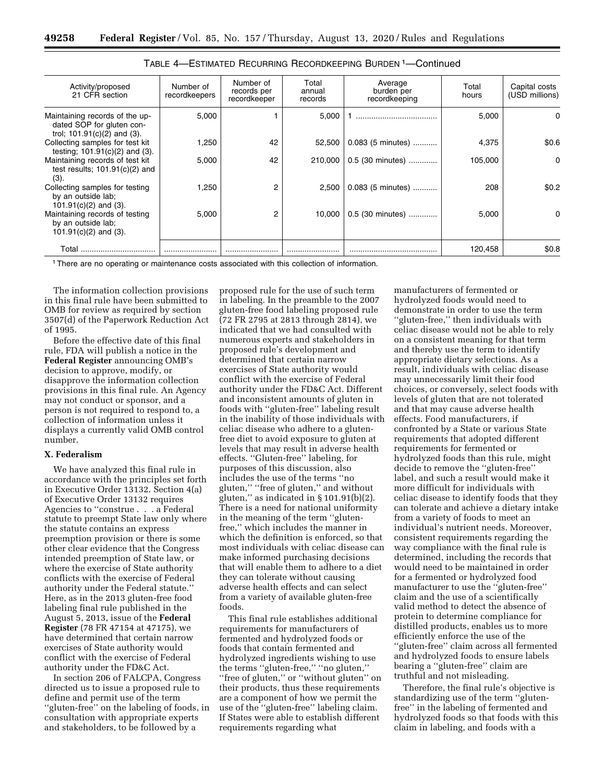| Activity/proposed<br>21 CFR section                                                          | Number of<br>recordkeepers | Number of<br>records per<br>recordkeeper | Total<br>annual<br>records | Average<br>burden per<br>recordkeeping | Total<br>hours | Capital costs<br>(USD millions) |
|----------------------------------------------------------------------------------------------|----------------------------|------------------------------------------|----------------------------|----------------------------------------|----------------|---------------------------------|
| Maintaining records of the up-<br>dated SOP for gluten con-<br>trol; $101.91(c)(2)$ and (3). | 5,000                      |                                          | 5,000                      |                                        | 5,000          | 0                               |
| Collecting samples for test kit<br>testing; $101.91(c)(2)$ and (3).                          | .250                       | 42                                       | 52.500                     | 0.083 (5 minutes)                      | 4,375          | \$0.6                           |
| Maintaining records of test kit<br>test results; $101.91(c)(2)$ and<br>(3).                  | 5,000                      | 42                                       | 210,000                    | 0.5 (30 minutes)                       | 105,000        | 0                               |
| Collecting samples for testing<br>by an outside lab;<br>101.91 $(c)(2)$ and $(3)$ .          | .250                       | 2                                        | 2,500                      | 0.083 (5 minutes)                      | 208            | \$0.2\$                         |
| Maintaining records of testing<br>by an outside lab;<br>$101.91(c)(2)$ and (3).              | 5.000                      | 2                                        | 10.000                     | 0.5 (30 minutes)                       | 5,000          | 0                               |
| Total                                                                                        |                            |                                          |                            |                                        | 120,458        | \$0.8                           |

| TABLE 4-ESTIMATED RECURRING RECORDKEEPING BURDEN 1-Continued |  |  |
|--------------------------------------------------------------|--|--|
|--------------------------------------------------------------|--|--|

1There are no operating or maintenance costs associated with this collection of information.

The information collection provisions in this final rule have been submitted to OMB for review as required by section 3507(d) of the Paperwork Reduction Act of 1995.

Before the effective date of this final rule, FDA will publish a notice in the **Federal Register** announcing OMB's decision to approve, modify, or disapprove the information collection provisions in this final rule. An Agency may not conduct or sponsor, and a person is not required to respond to, a collection of information unless it displays a currently valid OMB control number.

#### **X. Federalism**

We have analyzed this final rule in accordance with the principles set forth in Executive Order 13132. Section 4(a) of Executive Order 13132 requires Agencies to ''construe . . . a Federal statute to preempt State law only where the statute contains an express preemption provision or there is some other clear evidence that the Congress intended preemption of State law, or where the exercise of State authority conflicts with the exercise of Federal authority under the Federal statute.'' Here, as in the 2013 gluten-free food labeling final rule published in the August 5, 2013, issue of the **Federal Register** (78 FR 47154 at 47175), we have determined that certain narrow exercises of State authority would conflict with the exercise of Federal authority under the FD&C Act.

In section 206 of FALCPA, Congress directed us to issue a proposed rule to define and permit use of the term ''gluten-free'' on the labeling of foods, in consultation with appropriate experts and stakeholders, to be followed by a

proposed rule for the use of such term in labeling. In the preamble to the 2007 gluten-free food labeling proposed rule (72 FR 2795 at 2813 through 2814), we indicated that we had consulted with numerous experts and stakeholders in proposed rule's development and determined that certain narrow exercises of State authority would conflict with the exercise of Federal authority under the FD&C Act. Different and inconsistent amounts of gluten in foods with ''gluten-free'' labeling result in the inability of those individuals with celiac disease who adhere to a glutenfree diet to avoid exposure to gluten at levels that may result in adverse health effects. ''Gluten-free'' labeling, for purposes of this discussion, also includes the use of the terms ''no gluten,'' ''free of gluten,'' and without gluten,'' as indicated in § 101.91(b)(2). There is a need for national uniformity in the meaning of the term ''glutenfree,'' which includes the manner in which the definition is enforced, so that most individuals with celiac disease can make informed purchasing decisions that will enable them to adhere to a diet they can tolerate without causing adverse health effects and can select from a variety of available gluten-free foods.

This final rule establishes additional requirements for manufacturers of fermented and hydrolyzed foods or foods that contain fermented and hydrolyzed ingredients wishing to use the terms ''gluten-free,'' ''no gluten,'' ''free of gluten,'' or ''without gluten'' on their products, thus these requirements are a component of how we permit the use of the ''gluten-free'' labeling claim. If States were able to establish different requirements regarding what

manufacturers of fermented or hydrolyzed foods would need to demonstrate in order to use the term ''gluten-free,'' then individuals with celiac disease would not be able to rely on a consistent meaning for that term and thereby use the term to identify appropriate dietary selections. As a result, individuals with celiac disease may unnecessarily limit their food choices, or conversely, select foods with levels of gluten that are not tolerated and that may cause adverse health effects. Food manufacturers, if confronted by a State or various State requirements that adopted different requirements for fermented or hydrolyzed foods than this rule, might decide to remove the ''gluten-free'' label, and such a result would make it more difficult for individuals with celiac disease to identify foods that they can tolerate and achieve a dietary intake from a variety of foods to meet an individual's nutrient needs. Moreover, consistent requirements regarding the way compliance with the final rule is determined, including the records that would need to be maintained in order for a fermented or hydrolyzed food manufacturer to use the ''gluten-free'' claim and the use of a scientifically valid method to detect the absence of protein to determine compliance for distilled products, enables us to more efficiently enforce the use of the ''gluten-free'' claim across all fermented and hydrolyzed foods to ensure labels bearing a ''gluten-free'' claim are truthful and not misleading.

Therefore, the final rule's objective is standardizing use of the term ''glutenfree'' in the labeling of fermented and hydrolyzed foods so that foods with this claim in labeling, and foods with a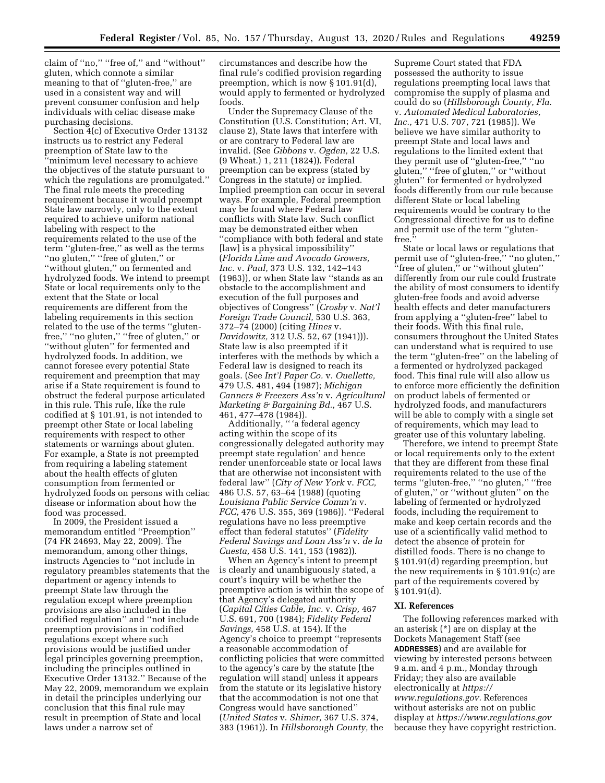claim of ''no,'' ''free of,'' and ''without'' gluten, which connote a similar meaning to that of ''gluten-free,'' are used in a consistent way and will prevent consumer confusion and help individuals with celiac disease make purchasing decisions.

Section 4(c) of Executive Order 13132 instructs us to restrict any Federal preemption of State law to the ''minimum level necessary to achieve the objectives of the statute pursuant to which the regulations are promulgated.'' The final rule meets the preceding requirement because it would preempt State law narrowly, only to the extent required to achieve uniform national labeling with respect to the requirements related to the use of the term ''gluten-free,'' as well as the terms ''no gluten,'' ''free of gluten,'' or ''without gluten,'' on fermented and hydrolyzed foods. We intend to preempt State or local requirements only to the extent that the State or local requirements are different from the labeling requirements in this section related to the use of the terms ''glutenfree," "no gluten," "free of gluten," or "without gluten" for fermented and hydrolyzed foods. In addition, we cannot foresee every potential State requirement and preemption that may arise if a State requirement is found to obstruct the federal purpose articulated in this rule. This rule, like the rule codified at § 101.91, is not intended to preempt other State or local labeling requirements with respect to other statements or warnings about gluten. For example, a State is not preempted from requiring a labeling statement about the health effects of gluten consumption from fermented or hydrolyzed foods on persons with celiac disease or information about how the food was processed.

In 2009, the President issued a memorandum entitled ''Preemption'' (74 FR 24693, May 22, 2009). The memorandum, among other things, instructs Agencies to ''not include in regulatory preambles statements that the department or agency intends to preempt State law through the regulation except where preemption provisions are also included in the codified regulation'' and ''not include preemption provisions in codified regulations except where such provisions would be justified under legal principles governing preemption, including the principles outlined in Executive Order 13132.'' Because of the May 22, 2009, memorandum we explain in detail the principles underlying our conclusion that this final rule may result in preemption of State and local laws under a narrow set of

circumstances and describe how the final rule's codified provision regarding preemption, which is now § 101.91(d), would apply to fermented or hydrolyzed foods.

Under the Supremacy Clause of the Constitution (U.S. Constitution; Art. VI, clause 2), State laws that interfere with or are contrary to Federal law are invalid. (See *Gibbons* v. *Ogden,* 22 U.S. (9 Wheat.) 1, 211 (1824)). Federal preemption can be express (stated by Congress in the statute) or implied. Implied preemption can occur in several ways. For example, Federal preemption may be found where Federal law conflicts with State law. Such conflict may be demonstrated either when ''compliance with both federal and state [law] is a physical impossibility'' (*Florida Lime and Avocado Growers, Inc.* v. *Paul,* 373 U.S. 132, 142–143 (1963)), or when State law ''stands as an obstacle to the accomplishment and execution of the full purposes and objectives of Congress'' (*Crosby* v. *Nat'l Foreign Trade Council,* 530 U.S. 363, 372–74 (2000) (citing *Hines* v. *Davidowitz,* 312 U.S. 52, 67 (1941))). State law is also preempted if it interferes with the methods by which a Federal law is designed to reach its goals. (See *Int'l Paper Co.* v. *Ouellette,*  479 U.S. 481, 494 (1987); *Michigan Canners & Freezers Ass'n* v. *Agricultural Marketing & Bargaining Bd.,* 467 U.S. 461, 477–478 (1984)).

Additionally, '' 'a federal agency acting within the scope of its congressionally delegated authority may preempt state regulation' and hence render unenforceable state or local laws that are otherwise not inconsistent with federal law'' (*City of New York* v. *FCC,*  486 U.S. 57, 63–64 (1988) (quoting *Louisiana Public Service Comm'n* v. *FCC,* 476 U.S. 355, 369 (1986)). ''Federal regulations have no less preemptive effect than federal statutes'' (*Fidelity Federal Savings and Loan Ass'n* v. *de la Cuesta,* 458 U.S. 141, 153 (1982)).

When an Agency's intent to preempt is clearly and unambiguously stated, a court's inquiry will be whether the preemptive action is within the scope of that Agency's delegated authority (*Capital Cities Cable, Inc.* v. *Crisp,* 467 U.S. 691, 700 (1984); *Fidelity Federal Savings,* 458 U.S. at 154). If the Agency's choice to preempt ''represents a reasonable accommodation of conflicting policies that were committed to the agency's care by the statute [the regulation will stand] unless it appears from the statute or its legislative history that the accommodation is not one that Congress would have sanctioned'' (*United States* v. *Shimer,* 367 U.S. 374, 383 (1961)). In *Hillsborough County,* the

Supreme Court stated that FDA possessed the authority to issue regulations preempting local laws that compromise the supply of plasma and could do so (*Hillsborough County, Fla.*  v. *Automated Medical Laboratories, Inc.,* 471 U.S. 707, 721 (1985)). We believe we have similar authority to preempt State and local laws and regulations to the limited extent that they permit use of ''gluten-free,'' ''no gluten," "free of gluten," or "without gluten'' for fermented or hydrolyzed foods differently from our rule because different State or local labeling requirements would be contrary to the Congressional directive for us to define and permit use of the term ''glutenfree.''

State or local laws or regulations that permit use of ''gluten-free,'' ''no gluten,'' ''free of gluten,'' or ''without gluten'' differently from our rule could frustrate the ability of most consumers to identify gluten-free foods and avoid adverse health effects and deter manufacturers from applying a ''gluten-free'' label to their foods. With this final rule, consumers throughout the United States can understand what is required to use the term ''gluten-free'' on the labeling of a fermented or hydrolyzed packaged food. This final rule will also allow us to enforce more efficiently the definition on product labels of fermented or hydrolyzed foods, and manufacturers will be able to comply with a single set of requirements, which may lead to greater use of this voluntary labeling.

Therefore, we intend to preempt State or local requirements only to the extent that they are different from these final requirements related to the use of the terms ''gluten-free,'' ''no gluten,'' ''free of gluten,'' or ''without gluten'' on the labeling of fermented or hydrolyzed foods, including the requirement to make and keep certain records and the use of a scientifically valid method to detect the absence of protein for distilled foods. There is no change to § 101.91(d) regarding preemption, but the new requirements in § 101.91(c) are part of the requirements covered by § 101.91(d).

#### **XI. References**

The following references marked with an asterisk (\*) are on display at the Dockets Management Staff (see **ADDRESSES**) and are available for viewing by interested persons between 9 a.m. and 4 p.m., Monday through Friday; they also are available electronically at *[https://](https://www.regulations.gov) [www.regulations.gov.](https://www.regulations.gov)* References without asterisks are not on public display at *<https://www.regulations.gov>*  because they have copyright restriction.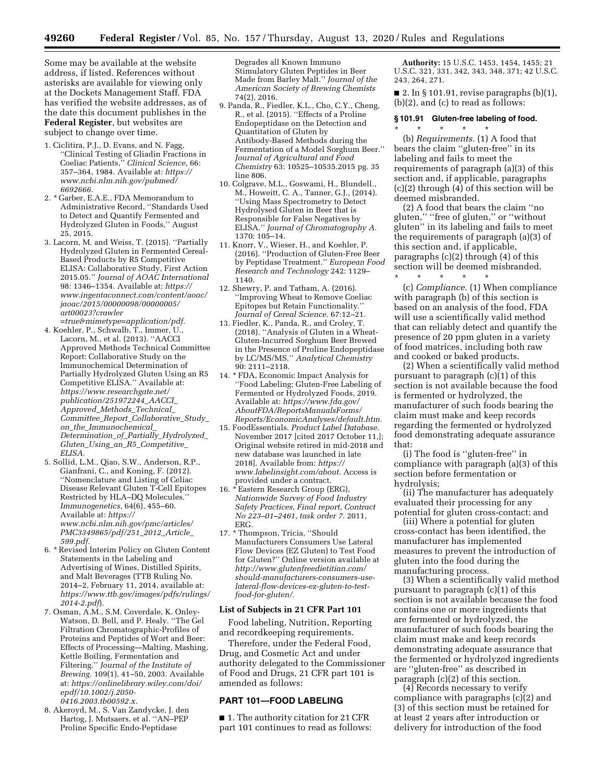Some may be available at the website address, if listed. References without asterisks are available for viewing only at the Dockets Management Staff. FDA has verified the website addresses, as of the date this document publishes in the **Federal Register**, but websites are subject to change over time.

- 1. Ciclitira, P.J., D. Evans, and N. Fagg, ''Clinical Testing of Gliadin Fractions in Coeliac Patients,'' *Clinical Science,* 66: 357–364, 1984. Available at: *[https://](https://www.ncbi.nlm.nih.gov/pubmed/6692666) [www.ncbi.nlm.nih.gov/pubmed/](https://www.ncbi.nlm.nih.gov/pubmed/6692666)  [6692666.](https://www.ncbi.nlm.nih.gov/pubmed/6692666)*
- 2. \* Garber, E.A.E., FDA Memorandum to Administrative Record, ''Standards Used to Detect and Quantify Fermented and Hydrolyzed Gluten in Foods,'' August 25, 2015.
- 3. Lacorn, M. and Weiss, T. (2015). ''Partially Hydrolyzed Gluten in Fermented Cereal-Based Products by R5 Competitive ELISA: Collaborative Study, First Action 2015.05.'' *Journal of AOAC International*  98: 1346–1354. Available at: *[https://](https://www.ingentaconnect.com/content/aoac/jaoac/2015/00000098/00000005/art00023?crawler=true&mimetype=application/pdf) [www.ingentaconnect.com/content/aoac/](https://www.ingentaconnect.com/content/aoac/jaoac/2015/00000098/00000005/art00023?crawler=true&mimetype=application/pdf)  [jaoac/2015/00000098/00000005/](https://www.ingentaconnect.com/content/aoac/jaoac/2015/00000098/00000005/art00023?crawler=true&mimetype=application/pdf)  [art00023?crawler](https://www.ingentaconnect.com/content/aoac/jaoac/2015/00000098/00000005/art00023?crawler=true&mimetype=application/pdf)*

*[=true&mimetype=application/pdf.](https://www.ingentaconnect.com/content/aoac/jaoac/2015/00000098/00000005/art00023?crawler=true&mimetype=application/pdf)* 

- 4. Koehler, P., Schwalb, T., Immer, U., Lacorn, M., et al. (2013). ''AACCI Approved Methods Technical Committee Report: Collaborative Study on the Immunochemical Determination of Partially Hydrolyzed Gluten Using an R5 Competitive ELISA.'' Available at: *[https://www.researchgate.net/](https://www.researchgate.net/publication/251972244_AACCI_Approved_Methods_Technical_Committee_Report_Collaborative_Study_on_the_Immunochemical_Determination_of_Partially_Hydrolyzed_Gluten_Using_an_R5_Competitive_ELISA)  [publication/251972244](https://www.researchgate.net/publication/251972244_AACCI_Approved_Methods_Technical_Committee_Report_Collaborative_Study_on_the_Immunochemical_Determination_of_Partially_Hydrolyzed_Gluten_Using_an_R5_Competitive_ELISA)*\_*AACCI*\_ *Approved*\_*Methods*\_*[Technical](https://www.researchgate.net/publication/251972244_AACCI_Approved_Methods_Technical_Committee_Report_Collaborative_Study_on_the_Immunochemical_Determination_of_Partially_Hydrolyzed_Gluten_Using_an_R5_Competitive_ELISA)*\_ *Committee*\_*Report*\_*[Collaborative](https://www.researchgate.net/publication/251972244_AACCI_Approved_Methods_Technical_Committee_Report_Collaborative_Study_on_the_Immunochemical_Determination_of_Partially_Hydrolyzed_Gluten_Using_an_R5_Competitive_ELISA)*\_*Study*\_ *on*\_*the*\_*[Immunochemical](https://www.researchgate.net/publication/251972244_AACCI_Approved_Methods_Technical_Committee_Report_Collaborative_Study_on_the_Immunochemical_Determination_of_Partially_Hydrolyzed_Gluten_Using_an_R5_Competitive_ELISA)*\_ *[Determination](https://www.researchgate.net/publication/251972244_AACCI_Approved_Methods_Technical_Committee_Report_Collaborative_Study_on_the_Immunochemical_Determination_of_Partially_Hydrolyzed_Gluten_Using_an_R5_Competitive_ELISA)*\_*of*\_*Partially*\_*Hydrolyzed*\_ *Gluten*\_*Using*\_*an*\_*R5*\_*[Competitive](https://www.researchgate.net/publication/251972244_AACCI_Approved_Methods_Technical_Committee_Report_Collaborative_Study_on_the_Immunochemical_Determination_of_Partially_Hydrolyzed_Gluten_Using_an_R5_Competitive_ELISA)*\_ *[ELISA.](https://www.researchgate.net/publication/251972244_AACCI_Approved_Methods_Technical_Committee_Report_Collaborative_Study_on_the_Immunochemical_Determination_of_Partially_Hydrolyzed_Gluten_Using_an_R5_Competitive_ELISA)*
- 5. Sollid, L.M., Qiao, S.W., Anderson, R.P., Gianfrani, C., and Koning, F. (2012). ''Nomenclature and Listing of Celiac Disease Relevant Gluten T-Cell Epitopes Restricted by HLA–DQ Molecules.'' *Immunogenetics,* 64(6), 455–60. Available at: *[https://](https://www.ncbi.nlm.nih.gov/pmc/articles/PMC3349865/pdf/251_2012_Article_599.pdf) [www.ncbi.nlm.nih.gov/pmc/articles/](https://www.ncbi.nlm.nih.gov/pmc/articles/PMC3349865/pdf/251_2012_Article_599.pdf)  [PMC3349865/pdf/251](https://www.ncbi.nlm.nih.gov/pmc/articles/PMC3349865/pdf/251_2012_Article_599.pdf)*\_*2012*\_*Article*\_ *[599.pdf.](https://www.ncbi.nlm.nih.gov/pmc/articles/PMC3349865/pdf/251_2012_Article_599.pdf)*
- 6. \* Revised Interim Policy on Gluten Content Statements in the Labeling and Advertising of Wines, Distilled Spirits, and Malt Beverages (TTB Ruling No. 2014–2, February 11, 2014, available at: *[https://www.ttb.gov/images/pdfs/rulings/](https://www.ttb.gov/images/pdfs/rulings/2014-2.pdf)  [2014-2.pdf](https://www.ttb.gov/images/pdfs/rulings/2014-2.pdf)*).
- 7. Osman, A.M., S.M. Coverdale, K. Onley-Watson, D. Bell, and P. Healy. ''The Gel Filtration Chromatographic-Profiles of Proteins and Peptides of Wort and Beer: Effects of Processing—Malting, Mashing, Kettle Boiling, Fermentation and Filtering.'' *Journal of the Institute of Brewing.* 109(1), 41–50, 2003. Available at: *[https://onlinelibrary.wiley.com/doi/](https://onlinelibrary.wiley.com/doi/epdf/10.1002/j.2050-0416.2003.tb00592.x) [epdf/10.1002/j.2050-](https://onlinelibrary.wiley.com/doi/epdf/10.1002/j.2050-0416.2003.tb00592.x) [0416.2003.tb00592.x.](https://onlinelibrary.wiley.com/doi/epdf/10.1002/j.2050-0416.2003.tb00592.x)*
- 8. Akeroyd, M., S. Van Zandycke, J. den Hartog, J. Mutsaers, et al. ''AN–PEP Proline Specific Endo-Peptidase

Degrades all Known Immuno Stimulatory Gluten Peptides in Beer Made from Barley Malt.'' *Journal of the American Society of Brewing Chemists*  74(2), 2016.

- 9. Panda, R., Fiedler, K.L., Cho, C.Y., Cheng, R., et al. (2015). ''Effects of a Proline Endopeptidase on the Detection and Quantitation of Gluten by Antibody-Based Methods during the Fermentation of a Model Sorghum Beer.'' *Journal of Agricultural and Food Chemistry* 63: 10525–10535.2015 pg. 35 line 806.
- 10. Colgrave, M.L., Goswami, H., Blundell., M., Howeitt, C. A., Tanner, G.J., (2014). ''Using Mass Spectrometry to Detect Hydrolysed Gluten in Beer that is Responsible for False Negatives by ELISA.'' *Journal of Chromatography A.*  1370: 105–14.
- 11. Knorr, V., Wieser, H., and Koehler, P. (2016). ''Production of Gluten-Free Beer by Peptidase Treatment.'' *European Food Research and Technology* 242: 1129– 1140.
- 12. Shewry, P. and Tatham, A. (2016). ''Improving Wheat to Remove Coeliac Epitopes but Retain Functionality.'' *Journal of Cereal Science.* 67:12–21.
- 13. Fiedler, K., Panda, R., and Croley, T. (2018). ''Analysis of Gluten in a Wheat-Gluten-Incurred Sorghum Beer Brewed in the Presence of Proline Endopeptidase by LC/MS/MS.'' *Analytical Chemistry*  90: 2111–2118.
- 14. \* FDA, Economic Impact Analysis for ''Food Labeling; Gluten-Free Labeling of Fermented or Hydrolyzed Foods, 2019. Available at: *[https://www.fda.gov/](https://www.fda.gov/AboutFDA/ReportsManualsForms/Reports/EconomicAnalyses/default.htm)  [AboutFDA/ReportsManualsForms/](https://www.fda.gov/AboutFDA/ReportsManualsForms/Reports/EconomicAnalyses/default.htm) [Reports/EconomicAnalyses/default.htm.](https://www.fda.gov/AboutFDA/ReportsManualsForms/Reports/EconomicAnalyses/default.htm)*
- 15. FoodEssentials. *Product Label Database.*  November 2017 [cited 2017 October 11,]; Original website retired in mid-2018 and new database was launched in late 2018]. Available from: *[https://](https://www.labelinsight.com/about) [www.labelinsight.com/about.](https://www.labelinsight.com/about)* Access is provided under a contract.
- 16. \* Eastern Research Group (ERG), *Nationwide Survey of Food Industry Safety Practices, Final report, Contract No 223–01–2461, task order 7.* 2011, ERG.
- 17. \* Thompson, Tricia, ''Should Manufacturers Consumers Use Lateral Flow Devices (EZ Gluten) to Test Food for Gluten?'' Online version available at *http://www.glutenfreedietitian.com/ [should-manufacturers-consumers-use](http://www.glutenfreedietitian.com/should-manufacturers-consumers-use-lateral-flow-devices-ez-gluten-to-test-food-for-gluten/)lateral-flow-devices-ez-gluten-to-test[food-for-gluten/.](http://www.glutenfreedietitian.com/should-manufacturers-consumers-use-lateral-flow-devices-ez-gluten-to-test-food-for-gluten/)*

## **List of Subjects in 21 CFR Part 101**

Food labeling, Nutrition, Reporting and recordkeeping requirements.

Therefore, under the Federal Food, Drug, and Cosmetic Act and under authority delegated to the Commissioner of Food and Drugs, 21 CFR part 101 is amended as follows:

# **PART 101—FOOD LABELING**

■ 1. The authority citation for 21 CFR part 101 continues to read as follows:

**Authority:** 15 U.S.C. 1453, 1454, 1455; 21 U.S.C. 321, 331, 342, 343, 348, 371; 42 U.S.C. 243, 264, 271.

■ 2. In § 101.91, revise paragraphs  $(b)(1)$ , (b)(2), and (c) to read as follows:

## **§ 101.91 Gluten-free labeling of food.**

\* \* \* \* \*

(b) *Requirements.* (1) A food that bears the claim ''gluten-free'' in its labeling and fails to meet the requirements of paragraph (a)(3) of this section and, if applicable, paragraphs (c)(2) through (4) of this section will be deemed misbranded.

(2) A food that bears the claim ''no gluten," "free of gluten," or "without gluten'' in its labeling and fails to meet the requirements of paragraph (a)(3) of this section and, if applicable, paragraphs (c)(2) through (4) of this section will be deemed misbranded. \* \* \* \* \*

(c) *Compliance.* (1) When compliance with paragraph (b) of this section is based on an analysis of the food, FDA will use a scientifically valid method that can reliably detect and quantify the presence of 20 ppm gluten in a variety of food matrices, including both raw and cooked or baked products.

(2) When a scientifically valid method pursuant to paragraph (c)(1) of this section is not available because the food is fermented or hydrolyzed, the manufacturer of such foods bearing the claim must make and keep records regarding the fermented or hydrolyzed food demonstrating adequate assurance that:

(i) The food is ''gluten-free'' in compliance with paragraph (a)(3) of this section before fermentation or hydrolysis;

(ii) The manufacturer has adequately evaluated their processing for any potential for gluten cross-contact; and

(iii) Where a potential for gluten cross-contact has been identified, the manufacturer has implemented measures to prevent the introduction of gluten into the food during the manufacturing process.

(3) When a scientifically valid method pursuant to paragraph (c)(1) of this section is not available because the food contains one or more ingredients that are fermented or hydrolyzed, the manufacturer of such foods bearing the claim must make and keep records demonstrating adequate assurance that the fermented or hydrolyzed ingredients are ''gluten-free'' as described in paragraph (c)(2) of this section.

(4) Records necessary to verify compliance with paragraphs (c)(2) and (3) of this section must be retained for at least 2 years after introduction or delivery for introduction of the food